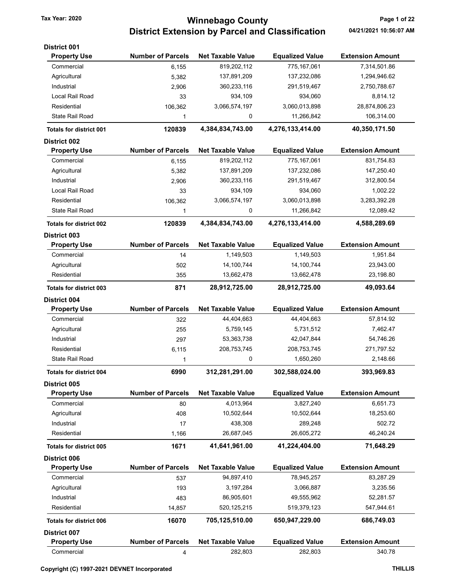## Tax Year: 2020 **Page 1 of 22 Winnebago County** Page 1 of 22 District Extension by Parcel and Classification 04/21/2021 10:56:07 AM

| <b>District 001</b><br><b>Property Use</b> | <b>Number of Parcels</b> | <b>Net Taxable Value</b> | <b>Equalized Value</b> | <b>Extension Amount</b> |
|--------------------------------------------|--------------------------|--------------------------|------------------------|-------------------------|
| Commercial                                 | 6,155                    | 819,202,112              | 775,167,061            | 7,314,501.86            |
| Agricultural                               | 5,382                    | 137,891,209              | 137,232,086            | 1,294,946.62            |
| Industrial                                 | 2,906                    | 360,233,116              | 291,519,467            | 2,750,788.67            |
| Local Rail Road                            | 33                       | 934,109                  | 934,060                | 8,814.12                |
| Residential                                | 106,362                  | 3,066,574,197            | 3,060,013,898          | 28,874,806.23           |
| State Rail Road                            | 1                        | 0                        | 11,266,842             | 106,314.00              |
|                                            |                          | 4,384,834,743.00         | 4,276,133,414.00       |                         |
| <b>Totals for district 001</b>             | 120839                   |                          |                        | 40,350,171.50           |
| <b>District 002</b><br><b>Property Use</b> | <b>Number of Parcels</b> | <b>Net Taxable Value</b> | <b>Equalized Value</b> | <b>Extension Amount</b> |
| Commercial                                 | 6,155                    | 819,202,112              | 775,167,061            | 831,754.83              |
| Agricultural                               | 5,382                    | 137,891,209              | 137,232,086            | 147,250.40              |
| Industrial                                 |                          |                          |                        | 312,800.54              |
| Local Rail Road                            | 2,906                    | 360,233,116<br>934,109   | 291,519,467<br>934,060 | 1,002.22                |
|                                            | 33                       |                          |                        |                         |
| Residential                                | 106,362                  | 3,066,574,197            | 3,060,013,898          | 3,283,392.28            |
| <b>State Rail Road</b>                     | 1                        | 0                        | 11,266,842             | 12,089.42               |
| <b>Totals for district 002</b>             | 120839                   | 4,384,834,743.00         | 4,276,133,414.00       | 4,588,289.69            |
| District 003                               |                          |                          |                        |                         |
| <b>Property Use</b>                        | <b>Number of Parcels</b> | <b>Net Taxable Value</b> | <b>Equalized Value</b> | <b>Extension Amount</b> |
| Commercial                                 | 14                       | 1,149,503                | 1,149,503              | 1,951.84                |
| Agricultural                               | 502                      | 14,100,744               | 14,100,744             | 23,943.00               |
| Residential                                | 355                      | 13,662,478               | 13,662,478             | 23,198.80               |
| <b>Totals for district 003</b>             | 871                      | 28,912,725.00            | 28,912,725.00          | 49,093.64               |
| <b>District 004</b>                        |                          |                          |                        |                         |
| <b>Property Use</b>                        | <b>Number of Parcels</b> | <b>Net Taxable Value</b> | <b>Equalized Value</b> | <b>Extension Amount</b> |
| Commercial                                 | 322                      | 44,404,663               | 44,404,663             | 57,814.92               |
| Agricultural                               | 255                      | 5,759,145                | 5,731,512              | 7,462.47                |
| Industrial                                 | 297                      | 53,363,738               | 42,047,844             | 54,746.26               |
| Residential                                | 6,115                    | 208,753,745              | 208,753,745            | 271,797.52              |
| State Rail Road                            | 1                        | 0                        | 1,650,260              | 2,148.66                |
| <b>Totals for district 004</b>             | 6990                     | 312,281,291.00           | 302,588,024.00         | 393,969.83              |
| District 005                               |                          |                          |                        |                         |
| <b>Property Use</b>                        | <b>Number of Parcels</b> | <b>Net Taxable Value</b> | <b>Equalized Value</b> | <b>Extension Amount</b> |
| Commercial                                 | 80                       | 4,013,964                | 3,827,240              | 6,651.73                |
| Agricultural                               | 408                      | 10,502,644               | 10,502,644             | 18,253.60               |
| Industrial                                 | 17                       | 438,308                  | 289,248                | 502.72                  |
| Residential                                | 1,166                    | 26,687,045               | 26,605,272             | 46,240.24               |
| <b>Totals for district 005</b>             | 1671                     | 41,641,961.00            | 41,224,404.00          | 71,648.29               |
| District 006                               |                          |                          |                        |                         |
| <b>Property Use</b>                        | <b>Number of Parcels</b> | <b>Net Taxable Value</b> | <b>Equalized Value</b> | <b>Extension Amount</b> |
| Commercial                                 | 537                      | 94,897,410               | 78,945,257             | 83,287.29               |
| Agricultural                               | 193                      | 3, 197, 284              | 3,066,887              | 3,235.56                |
| Industrial                                 | 483                      | 86,905,601               | 49,555,962             | 52,281.57               |
| Residential                                | 14,857                   | 520, 125, 215            | 519,379,123            | 547,944.61              |
| <b>Totals for district 006</b>             | 16070                    | 705,125,510.00           | 650,947,229.00         | 686,749.03              |
| <b>District 007</b>                        |                          |                          |                        |                         |
| <b>Property Use</b>                        | <b>Number of Parcels</b> | <b>Net Taxable Value</b> | <b>Equalized Value</b> | <b>Extension Amount</b> |
| Commercial                                 | 4                        | 282,803                  | 282,803                | 340.78                  |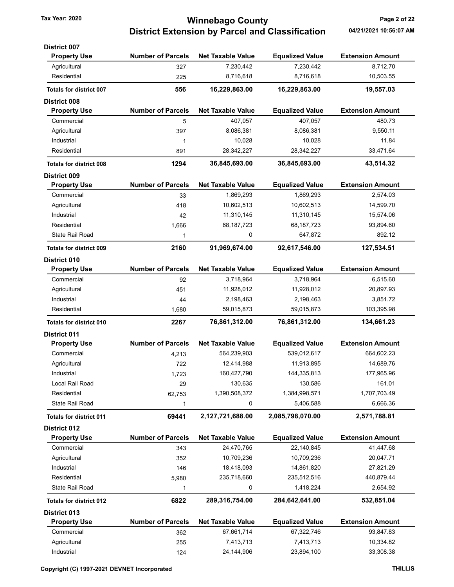## Tax Year: 2020 **Ninnebago County** Page 2 of 22 District Extension by Parcel and Classification 04/21/2021 10:56:07 AM

| <b>District 007</b>            |                          |                          |                        |                         |
|--------------------------------|--------------------------|--------------------------|------------------------|-------------------------|
| <b>Property Use</b>            | <b>Number of Parcels</b> | <b>Net Taxable Value</b> | <b>Equalized Value</b> | <b>Extension Amount</b> |
| Agricultural                   | 327                      | 7,230,442                | 7,230,442              | 8,712.70                |
| Residential                    | 225                      | 8,716,618                | 8,716,618              | 10,503.55               |
| <b>Totals for district 007</b> | 556                      | 16,229,863.00            | 16,229,863.00          | 19,557.03               |
| <b>District 008</b>            |                          |                          |                        |                         |
| <b>Property Use</b>            | <b>Number of Parcels</b> | <b>Net Taxable Value</b> | <b>Equalized Value</b> | <b>Extension Amount</b> |
| Commercial                     | 5                        | 407,057                  | 407,057                | 480.73                  |
| Agricultural                   | 397                      | 8,086,381                | 8,086,381              | 9.550.11                |
| Industrial                     | 1                        | 10,028                   | 10,028                 | 11.84                   |
| Residential                    | 891                      | 28,342,227               | 28,342,227             | 33,471.64               |
| <b>Totals for district 008</b> | 1294                     | 36,845,693.00            | 36,845,693.00          | 43,514.32               |
| <b>District 009</b>            |                          |                          |                        |                         |
| <b>Property Use</b>            | <b>Number of Parcels</b> | <b>Net Taxable Value</b> | <b>Equalized Value</b> | <b>Extension Amount</b> |
| Commercial                     | 33                       | 1,869,293                | 1,869,293              | 2,574.03                |
| Agricultural                   | 418                      | 10,602,513               | 10,602,513             | 14,599.70               |
| Industrial                     | 42                       | 11,310,145               | 11,310,145             | 15,574.06               |
| Residential                    | 1,666                    | 68,187,723               | 68,187,723             | 93,894.60               |
| State Rail Road                | 1                        | 0                        | 647,872                | 892.12                  |
| <b>Totals for district 009</b> | 2160                     | 91,969,674.00            | 92,617,546.00          | 127,534.51              |
| District 010                   |                          |                          |                        |                         |
| <b>Property Use</b>            | <b>Number of Parcels</b> | <b>Net Taxable Value</b> | <b>Equalized Value</b> | <b>Extension Amount</b> |
| Commercial                     | 92                       | 3,718,964                | 3,718,964              | 6,515.60                |
| Agricultural                   | 451                      | 11,928,012               | 11,928,012             | 20,897.93               |
| Industrial                     | 44                       | 2,198,463                | 2,198,463              | 3,851.72                |
| Residential                    | 1,680                    | 59,015,873               | 59,015,873             | 103,395.98              |
| <b>Totals for district 010</b> | 2267                     | 76,861,312.00            | 76,861,312.00          | 134,661.23              |
| <b>District 011</b>            |                          |                          |                        |                         |
| <b>Property Use</b>            | <b>Number of Parcels</b> | <b>Net Taxable Value</b> | <b>Equalized Value</b> | <b>Extension Amount</b> |
| Commercial                     | 4,213                    | 564,239,903              | 539,012,617            | 664,602.23              |
| Agricultural                   | 722                      | 12,414,988               | 11,913,895             | 14,689.76               |
| Industrial                     | 1,723                    | 160,427,790              | 144,335,813            | 177,965.96              |
| Local Rail Road                | 29                       | 130,635                  | 130,586                | 161.01                  |
| Residential                    | 62,753                   | 1,390,508,372            | 1,384,998,571          | 1,707,703.49            |
| <b>State Rail Road</b>         | 1                        | 0                        | 5,406,588              | 6,666.36                |
| <b>Totals for district 011</b> | 69441                    | 2,127,721,688.00         | 2,085,798,070.00       | 2,571,788.81            |
| <b>District 012</b>            |                          |                          |                        |                         |
| <b>Property Use</b>            | <b>Number of Parcels</b> | <b>Net Taxable Value</b> | <b>Equalized Value</b> | <b>Extension Amount</b> |
| Commercial                     | 343                      | 24,470,765               | 22,140,845             | 41,447.68               |
| Agricultural                   | 352                      | 10,709,236               | 10,709,236             | 20,047.71               |
| Industrial                     | 146                      | 18,418,093               | 14,861,820             | 27,821.29               |
| Residential                    | 5,980                    | 235,718,660              | 235,512,516            | 440,879.44              |
| <b>State Rail Road</b>         | 1                        | 0                        | 1,418,224              | 2,654.92                |
| <b>Totals for district 012</b> | 6822                     | 289,316,754.00           | 284,642,641.00         | 532,851.04              |
| <b>District 013</b>            |                          |                          |                        |                         |
| <b>Property Use</b>            | <b>Number of Parcels</b> | <b>Net Taxable Value</b> | <b>Equalized Value</b> | <b>Extension Amount</b> |
| Commercial                     | 362                      | 67,661,714               | 67,322,746             | 93,847.83               |
| Agricultural                   | 255                      | 7,413,713                | 7,413,713              | 10,334.82               |
|                                |                          |                          |                        |                         |

Industrial 124 24,144,906 23,894,100 33,308.38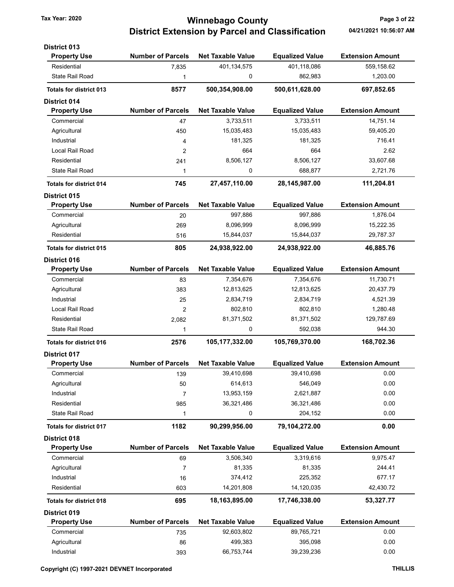## Tax Year: 2020 **Page 3 of 22 Winnebago County** Page 3 of 22 District Extension by Parcel and Classification 04/21/2021 10:56:07 AM

| <b>District 013</b>            |                          |                          |                        |                         |
|--------------------------------|--------------------------|--------------------------|------------------------|-------------------------|
| <b>Property Use</b>            | <b>Number of Parcels</b> | <b>Net Taxable Value</b> | <b>Equalized Value</b> | <b>Extension Amount</b> |
| Residential                    | 7,835                    | 401,134,575              | 401,118,086            | 559,158.62              |
| <b>State Rail Road</b>         | 1                        | 0                        | 862,983                | 1,203.00                |
| <b>Totals for district 013</b> | 8577                     | 500,354,908.00           | 500,611,628.00         | 697,852.65              |
| <b>District 014</b>            |                          |                          |                        |                         |
| <b>Property Use</b>            | <b>Number of Parcels</b> | <b>Net Taxable Value</b> | <b>Equalized Value</b> | <b>Extension Amount</b> |
| Commercial                     | 47                       | 3,733,511                | 3,733,511              | 14,751.14               |
| Agricultural                   | 450                      | 15,035,483               | 15,035,483             | 59,405.20               |
| Industrial                     | 4                        | 181,325                  | 181,325                | 716.41                  |
| Local Rail Road                | 2                        | 664                      | 664                    | 2.62                    |
| Residential                    | 241                      | 8,506,127                | 8,506,127              | 33,607.68               |
| <b>State Rail Road</b>         | 1                        | 0                        | 688,877                | 2,721.76                |
| <b>Totals for district 014</b> | 745                      | 27,457,110.00            | 28,145,987.00          | 111,204.81              |
| <b>District 015</b>            |                          |                          |                        |                         |
| <b>Property Use</b>            | <b>Number of Parcels</b> | <b>Net Taxable Value</b> | <b>Equalized Value</b> | <b>Extension Amount</b> |
| Commercial                     | 20                       | 997,886                  | 997,886                | 1,876.04                |
| Agricultural                   | 269                      | 8,096,999                | 8,096,999              | 15,222.35               |
| Residential                    | 516                      | 15,844,037               | 15,844,037             | 29,787.37               |
| <b>Totals for district 015</b> | 805                      | 24,938,922.00            | 24,938,922.00          | 46,885.76               |
| <b>District 016</b>            |                          |                          |                        |                         |
| <b>Property Use</b>            | <b>Number of Parcels</b> | <b>Net Taxable Value</b> | <b>Equalized Value</b> | <b>Extension Amount</b> |
| Commercial                     | 83                       | 7,354,676                | 7,354,676              | 11,730.71               |
| Agricultural                   | 383                      | 12,813,625               | 12,813,625             | 20,437.79               |
| Industrial                     | 25                       | 2,834,719                | 2,834,719              | 4,521.39                |
| Local Rail Road                | 2                        | 802,810                  | 802,810                | 1,280.48                |
| Residential                    | 2,082                    | 81,371,502               | 81,371,502             | 129,787.69              |
| State Rail Road                | 1                        | 0                        | 592,038                | 944.30                  |
| <b>Totals for district 016</b> | 2576                     | 105,177,332.00           | 105,769,370.00         | 168,702.36              |
| <b>District 017</b>            |                          |                          |                        |                         |
| <b>Property Use</b>            | <b>Number of Parcels</b> | <b>Net Taxable Value</b> | <b>Equalized Value</b> | <b>Extension Amount</b> |
| Commercial                     | 139                      | 39,410,698               | 39,410,698             | 0.00                    |
| Agricultural                   | 50                       | 614,613                  | 546,049                | 0.00                    |
| Industrial                     | 7                        | 13,953,159               | 2,621,887              | 0.00                    |
| Residential                    | 985                      | 36,321,486               | 36,321,486             | 0.00                    |
| <b>State Rail Road</b>         | 1                        | 0                        | 204,152                | 0.00                    |
| <b>Totals for district 017</b> | 1182                     | 90,299,956.00            | 79,104,272.00          | 0.00                    |
| District 018                   |                          |                          |                        |                         |
| <b>Property Use</b>            | <b>Number of Parcels</b> | <b>Net Taxable Value</b> | <b>Equalized Value</b> | <b>Extension Amount</b> |
| Commercial                     | 69                       | 3,506,340                | 3,319,616              | 9,975.47                |
| Agricultural                   | 7                        | 81,335                   | 81,335                 | 244.41                  |
| Industrial                     | 16                       | 374,412                  | 225,352                | 677.17                  |
| Residential                    | 603                      | 14,201,808               | 14,120,035             | 42,430.72               |
| <b>Totals for district 018</b> | 695                      | 18,163,895.00            | 17,746,338.00          | 53,327.77               |
| District 019                   |                          |                          |                        |                         |
| <b>Property Use</b>            | <b>Number of Parcels</b> | <b>Net Taxable Value</b> | <b>Equalized Value</b> | <b>Extension Amount</b> |
| Commercial                     | 735                      | 92,603,802               | 89,765,721             | 0.00                    |
| Agricultural                   | 86                       | 499,383                  | 395,098                | 0.00                    |
| Industrial                     | 393                      | 66,753,744               | 39,239,236             | 0.00                    |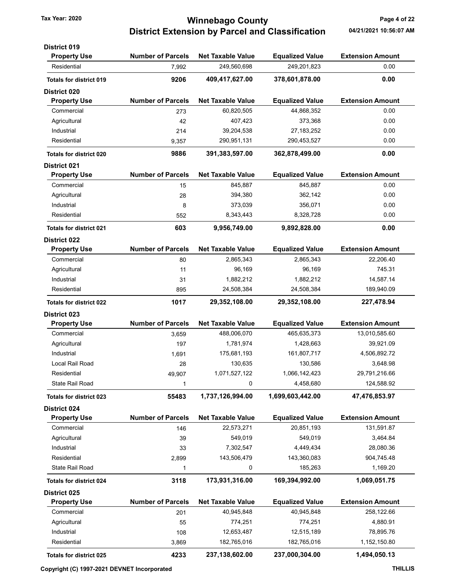### Tax Year: 2020 **Page 4 of 22 Winnebago County** Page 4 of 22 District Extension by Parcel and Classification 04/21/2021 10:56:07 AM

| <b>District 019</b>            |                          |                          |                        |                         |
|--------------------------------|--------------------------|--------------------------|------------------------|-------------------------|
| <b>Property Use</b>            | <b>Number of Parcels</b> | <b>Net Taxable Value</b> | <b>Equalized Value</b> | <b>Extension Amount</b> |
| Residential                    | 7,992                    | 249,560,698              | 249,201,823            | 0.00                    |
| <b>Totals for district 019</b> | 9206                     | 409,417,627.00           | 378,601,878.00         | 0.00                    |
| <b>District 020</b>            |                          |                          |                        |                         |
| <b>Property Use</b>            | <b>Number of Parcels</b> | <b>Net Taxable Value</b> | <b>Equalized Value</b> | <b>Extension Amount</b> |
| Commercial                     | 273                      | 60,820,505               | 44,868,352             | 0.00                    |
| Agricultural                   | 42                       | 407,423                  | 373,368                | 0.00                    |
| Industrial                     | 214                      | 39,204,538               | 27, 183, 252           | 0.00                    |
| Residential                    | 9,357                    | 290,951,131              | 290,453,527            | 0.00                    |
| <b>Totals for district 020</b> | 9886                     | 391,383,597.00           | 362,878,499.00         | 0.00                    |
| <b>District 021</b>            |                          |                          |                        |                         |
| <b>Property Use</b>            | <b>Number of Parcels</b> | <b>Net Taxable Value</b> | <b>Equalized Value</b> | <b>Extension Amount</b> |
| Commercial                     | 15                       | 845,887                  | 845,887                | 0.00                    |
| Agricultural                   | 28                       | 394,380                  | 362,142                | 0.00                    |
| Industrial                     | 8                        | 373,039                  | 356,071                | 0.00                    |
| Residential                    | 552                      | 8,343,443                | 8,328,728              | 0.00                    |
| <b>Totals for district 021</b> | 603                      | 9.956.749.00             | 9,892,828.00           | 0.00                    |
| <b>District 022</b>            |                          |                          |                        |                         |
| <b>Property Use</b>            | <b>Number of Parcels</b> | <b>Net Taxable Value</b> | <b>Equalized Value</b> | <b>Extension Amount</b> |
| Commercial                     | 80                       | 2,865,343                | 2,865,343              | 22,206.40               |
| Agricultural                   | 11                       | 96,169                   | 96,169                 | 745.31                  |
| Industrial                     | 31                       | 1,882,212                | 1,882,212              | 14,587.14               |
| Residential                    | 895                      | 24,508,384               | 24,508,384             | 189,940.09              |
| <b>Totals for district 022</b> | 1017                     | 29,352,108.00            | 29,352,108.00          | 227,478.94              |
| <b>District 023</b>            |                          |                          |                        |                         |
| <b>Property Use</b>            | <b>Number of Parcels</b> | <b>Net Taxable Value</b> | <b>Equalized Value</b> | <b>Extension Amount</b> |
| Commercial                     | 3,659                    | 488,006,070              | 465,635,373            | 13,010,585.60           |
| Agricultural                   | 197                      | 1,781,974                | 1,428,663              | 39,921.09               |
| Industrial                     | 1,691                    | 175,681,193              | 161,807,717            | 4,506,892.72            |
| Local Rail Road                | 28                       | 130,635                  | 130,586                | 3,648.98                |
| Residential                    | 49,907                   | 1,071,527,122            | 1,066,142,423          | 29,791,216.66           |
| State Rail Road                | 1                        | 0                        | 4,458,680              | 124,588.92              |
| <b>Totals for district 023</b> | 55483                    | 1,737,126,994.00         | 1,699,603,442.00       | 47,476,853.97           |
| District 024                   |                          |                          |                        |                         |
| <b>Property Use</b>            | <b>Number of Parcels</b> | <b>Net Taxable Value</b> | <b>Equalized Value</b> | <b>Extension Amount</b> |
| Commercial                     | 146                      | 22,573,271               | 20,851,193             | 131,591.87              |
| Agricultural                   | 39                       | 549,019                  | 549,019                | 3,464.84                |
| Industrial                     | 33                       | 7,302,547                | 4,449,434              | 28,080.36               |
| Residential                    | 2,899                    | 143,506,479              | 143,360,083            | 904,745.48              |
| <b>State Rail Road</b>         | 1                        | 0                        | 185,263                | 1,169.20                |
| <b>Totals for district 024</b> | 3118                     | 173,931,316.00           | 169,394,992.00         | 1,069,051.75            |
| District 025                   |                          |                          |                        |                         |
| <b>Property Use</b>            | <b>Number of Parcels</b> | <b>Net Taxable Value</b> | <b>Equalized Value</b> | <b>Extension Amount</b> |
| Commercial                     | 201                      | 40,945,848               | 40,945,848             | 258,122.66              |
| Agricultural                   | 55                       | 774,251                  | 774,251                | 4,880.91                |
| Industrial                     | 108                      | 12,653,487               | 12,515,189             | 78,895.76               |
| Residential                    | 3,869                    | 182,765,016              | 182,765,016            | 1,152,150.80            |
|                                |                          |                          |                        |                         |
| Totals for district 025        | 4233                     | 237,138,602.00           | 237,000,304.00         | 1,494,050.13            |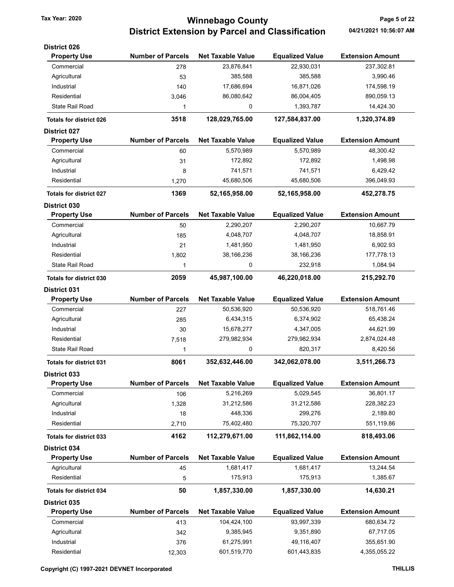# Tax Year: 2020 **Page 5 of 22 Winnebago County** Page 5 of 22 District Extension by Parcel and Classification 04/21/2021 10:56:07 AM

| <b>District 026</b>            |                          |                          |                        |                         |
|--------------------------------|--------------------------|--------------------------|------------------------|-------------------------|
| <b>Property Use</b>            | <b>Number of Parcels</b> | <b>Net Taxable Value</b> | <b>Equalized Value</b> | <b>Extension Amount</b> |
| Commercial                     | 278                      | 23,876,841               | 22,930,031             | 237,302.81              |
| Agricultural                   | 53                       | 385,588                  | 385,588                | 3,990.46                |
| Industrial                     | 140                      | 17,686,694               | 16,871,026             | 174,598.19              |
| Residential                    | 3,046                    | 86,080,642               | 86,004,405             | 890,059.13              |
| State Rail Road                | 1                        | 0                        | 1,393,787              | 14,424.30               |
| <b>Totals for district 026</b> | 3518                     | 128,029,765.00           | 127,584,837.00         | 1,320,374.89            |
| <b>District 027</b>            |                          |                          |                        |                         |
| <b>Property Use</b>            | <b>Number of Parcels</b> | <b>Net Taxable Value</b> | <b>Equalized Value</b> | <b>Extension Amount</b> |
| Commercial                     | 60                       | 5,570,989                | 5,570,989              | 48,300.42               |
| Agricultural                   | 31                       | 172,892                  | 172,892                | 1,498.98                |
| Industrial                     | 8                        | 741,571                  | 741,571                | 6,429.42                |
| Residential                    | 1,270                    | 45,680,506               | 45,680,506             | 396,049.93              |
| <b>Totals for district 027</b> | 1369                     | 52,165,958.00            | 52,165,958.00          | 452,278.75              |
| District 030                   |                          |                          |                        |                         |
| <b>Property Use</b>            | <b>Number of Parcels</b> | <b>Net Taxable Value</b> | <b>Equalized Value</b> | <b>Extension Amount</b> |
| Commercial                     | 50                       | 2,290,207                | 2,290,207              | 10,667.79               |
| Agricultural                   | 185                      | 4,048,707                | 4,048,707              | 18,858.91               |
| Industrial                     | 21                       | 1,481,950                | 1,481,950              | 6,902.93                |
| Residential                    | 1,802                    | 38,166,236               | 38,166,236             | 177,778.13              |
| <b>State Rail Road</b>         | 1                        | 0                        | 232,918                | 1,084.94                |
| <b>Totals for district 030</b> | 2059                     | 45,987,100.00            | 46,220,018.00          | 215,292.70              |
| <b>District 031</b>            |                          |                          |                        |                         |
| <b>Property Use</b>            | <b>Number of Parcels</b> | <b>Net Taxable Value</b> | <b>Equalized Value</b> | <b>Extension Amount</b> |
| Commercial                     | 227                      | 50,536,920               | 50,536,920             | 518,761.46              |
| Agricultural                   | 285                      | 6,434,315                | 6,374,902              | 65,438.24               |
| Industrial                     | 30                       | 15,678,277               | 4,347,005              | 44,621.99               |
| Residential                    | 7,518                    | 279,982,934              | 279,982,934            | 2,874,024.48            |
| State Rail Road                | 1                        | 0                        | 820,317                | 8,420.56                |
| <b>Totals for district 031</b> | 8061                     | 352,632,446.00           | 342,062,078.00         | 3,511,266.73            |
| <b>District 033</b>            |                          |                          |                        |                         |
| <b>Property Use</b>            | <b>Number of Parcels</b> | <b>Net Taxable Value</b> | <b>Equalized Value</b> | <b>Extension Amount</b> |
| Commercial                     | 106                      | 5,216,269                | 5,029,545              | 36,801.17               |
| Agricultural                   | 1,328                    | 31,212,586               | 31,212,586             | 228,382.23              |
| Industrial                     | 18                       | 448,336                  | 299,276                | 2,189.80                |
| Residential                    | 2,710                    | 75,402,480               | 75,320,707             | 551,119.86              |
| <b>Totals for district 033</b> | 4162                     | 112,279,671.00           | 111,862,114.00         | 818,493.06              |
| District 034                   |                          |                          |                        |                         |
| <b>Property Use</b>            | <b>Number of Parcels</b> | <b>Net Taxable Value</b> | <b>Equalized Value</b> | <b>Extension Amount</b> |
| Agricultural                   | 45                       | 1,681,417                | 1,681,417              | 13,244.54               |
| Residential                    | 5                        | 175,913                  | 175,913                | 1,385.67                |
| Totals for district 034        | 50                       | 1,857,330.00             | 1,857,330.00           | 14,630.21               |
| District 035                   |                          |                          |                        |                         |
| <b>Property Use</b>            | <b>Number of Parcels</b> | <b>Net Taxable Value</b> | <b>Equalized Value</b> | <b>Extension Amount</b> |
| Commercial                     | 413                      | 104,424,100              | 93,997,339             | 680,634.72              |
| Agricultural                   | 342                      | 9,385,945                | 9,351,890              | 67,717.05               |
| Industrial                     | 376                      | 61,275,991               | 49,116,407             | 355,651.90              |
| Residential                    | 12,303                   | 601,519,770              | 601,443,835            | 4,355,055.22            |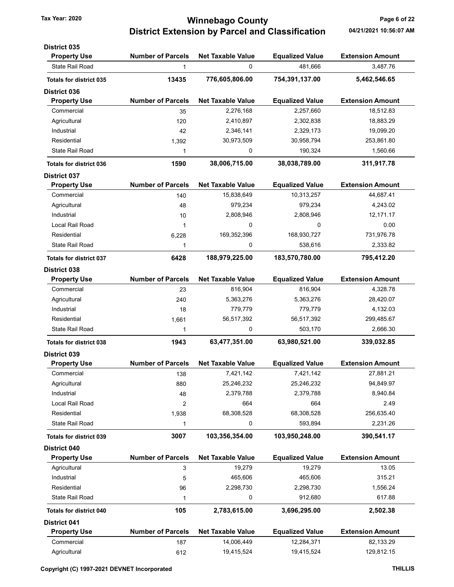## Tax Year: 2020 **Winnebago County Tax Year: 2020** Page 6 of 22 District Extension by Parcel and Classification 04/21/2021 10:56:07 AM

| <b>District 035</b>            |                          |                          |                        |                         |
|--------------------------------|--------------------------|--------------------------|------------------------|-------------------------|
| <b>Property Use</b>            | <b>Number of Parcels</b> | <b>Net Taxable Value</b> | <b>Equalized Value</b> | <b>Extension Amount</b> |
| <b>State Rail Road</b>         | 1                        | 0                        | 481.666                | 3,487.76                |
| <b>Totals for district 035</b> | 13435                    | 776,605,806.00           | 754,391,137.00         | 5,462,546.65            |
| <b>District 036</b>            |                          |                          |                        |                         |
| <b>Property Use</b>            | <b>Number of Parcels</b> | <b>Net Taxable Value</b> | <b>Equalized Value</b> | <b>Extension Amount</b> |
| Commercial                     | 35                       | 2,276,168                | 2,257,660              | 18,512.83               |
| Agricultural                   | 120                      | 2,410,897                | 2,302,838              | 18,883.29               |
| Industrial                     | 42                       | 2,346,141                | 2,329,173              | 19,099.20               |
| Residential                    | 1,392                    | 30,973,509               | 30,958,794             | 253,861.80              |
| <b>State Rail Road</b>         | 1                        | 0                        | 190,324                | 1,560.66                |
| <b>Totals for district 036</b> | 1590                     | 38,006,715.00            | 38,038,789.00          | 311,917.78              |
| <b>District 037</b>            |                          |                          |                        |                         |
| <b>Property Use</b>            | <b>Number of Parcels</b> | <b>Net Taxable Value</b> | <b>Equalized Value</b> | <b>Extension Amount</b> |
| Commercial                     | 140                      | 15,838,649               | 10,313,257             | 44,687.41               |
| Agricultural                   | 48                       | 979,234                  | 979,234                | 4,243.02                |
| Industrial                     | 10                       | 2,808,946                | 2,808,946              | 12,171.17               |
| Local Rail Road                | 1                        | 0                        | 0                      | 0.00                    |
| Residential                    | 6,228                    | 169,352,396              | 168,930,727            | 731,976.78              |
| <b>State Rail Road</b>         | 1                        | 0                        | 538,616                | 2,333.82                |
| <b>Totals for district 037</b> | 6428                     | 188,979,225.00           | 183,570,780.00         | 795,412.20              |
| District 038                   |                          |                          |                        |                         |
| <b>Property Use</b>            | <b>Number of Parcels</b> | <b>Net Taxable Value</b> | <b>Equalized Value</b> | <b>Extension Amount</b> |
| Commercial                     | 23                       | 816,904                  | 816,904                | 4,328.78                |
| Agricultural                   | 240                      | 5,363,276                | 5,363,276              | 28,420.07               |
| Industrial                     | 18                       | 779,779                  | 779,779                | 4,132.03                |
| Residential                    | 1,661                    | 56,517,392               | 56,517,392             | 299,485.67              |
| <b>State Rail Road</b>         | 1                        | 0                        | 503,170                | 2,666.30                |
| <b>Totals for district 038</b> | 1943                     | 63,477,351.00            | 63,980,521.00          | 339,032.85              |
| <b>District 039</b>            |                          |                          |                        |                         |
| <b>Property Use</b>            | <b>Number of Parcels</b> | <b>Net Taxable Value</b> | <b>Equalized Value</b> | <b>Extension Amount</b> |
| Commercial                     | 138                      | 7,421,142                | 7,421,142              | 27,881.21               |
| Agricultural                   | 880                      | 25,246,232               | 25,246,232             | 94,849.97               |
| Industrial                     | 48                       | 2,379,788                | 2,379,788              | 8,940.84                |
| Local Rail Road                | $\overline{2}$           | 664                      | 664                    | 2.49                    |
| Residential                    | 1,938                    | 68,308,528               | 68,308,528             | 256,635.40              |
| <b>State Rail Road</b>         | 1                        | 0                        | 593,894                | 2,231.26                |
| <b>Totals for district 039</b> | 3007                     | 103,356,354.00           | 103,950,248.00         | 390,541.17              |
| District 040                   |                          |                          |                        |                         |
| <b>Property Use</b>            | <b>Number of Parcels</b> | <b>Net Taxable Value</b> | <b>Equalized Value</b> | <b>Extension Amount</b> |
| Agricultural                   | 3                        | 19,279                   | 19,279                 | 13.05                   |
| Industrial                     | 5                        | 465,606                  | 465,606                | 315.21                  |
| Residential                    | 96                       | 2,298,730                | 2,298,730              | 1,556.24                |
| State Rail Road                | 1                        | 0                        | 912,680                | 617.88                  |
| <b>Totals for district 040</b> | 105                      | 2,783,615.00             | 3,696,295.00           | 2,502.38                |
| <b>District 041</b>            |                          |                          |                        |                         |
| <b>Property Use</b>            | <b>Number of Parcels</b> | <b>Net Taxable Value</b> | <b>Equalized Value</b> | <b>Extension Amount</b> |
| Commercial                     | 187                      | 14,006,449               | 12,284,371             | 82,133.29               |
| Agricultural                   | 612                      | 19,415,524               | 19,415,524             | 129,812.15              |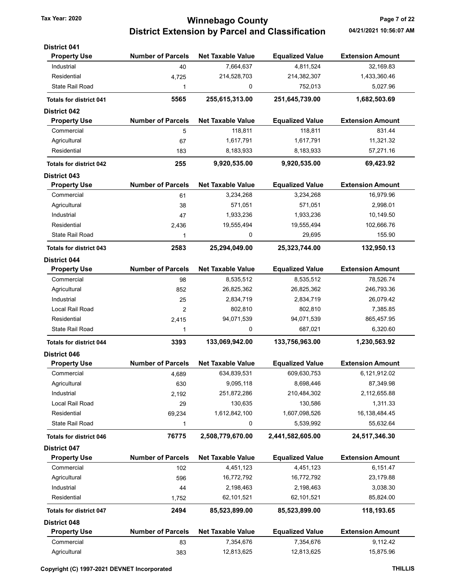## Tax Year: 2020 **Page 7 of 22 Winnebago County** Page 7 of 22 District Extension by Parcel and Classification 04/21/2021 10:56:07 AM

| <b>District 041</b>            |                          |                          |                        |                         |
|--------------------------------|--------------------------|--------------------------|------------------------|-------------------------|
| <b>Property Use</b>            | <b>Number of Parcels</b> | <b>Net Taxable Value</b> | <b>Equalized Value</b> | <b>Extension Amount</b> |
| Industrial                     | 40                       | 7,664,637                | 4,811,524              | 32,169.83               |
| Residential                    | 4,725                    | 214,528,703              | 214,382,307            | 1,433,360.46            |
| State Rail Road                | 1                        | 0                        | 752,013                | 5,027.96                |
| <b>Totals for district 041</b> | 5565                     | 255,615,313.00           | 251,645,739.00         | 1,682,503.69            |
| <b>District 042</b>            |                          |                          |                        |                         |
| <b>Property Use</b>            | <b>Number of Parcels</b> | <b>Net Taxable Value</b> | <b>Equalized Value</b> | <b>Extension Amount</b> |
| Commercial                     | 5                        | 118,811                  | 118,811                | 831.44                  |
| Agricultural                   | 67                       | 1,617,791                | 1,617,791              | 11,321.32               |
| Residential                    | 183                      | 8,183,933                | 8,183,933              | 57,271.16               |
| <b>Totals for district 042</b> | 255                      | 9,920,535.00             | 9,920,535.00           | 69,423.92               |
| <b>District 043</b>            |                          |                          |                        |                         |
| <b>Property Use</b>            | <b>Number of Parcels</b> | <b>Net Taxable Value</b> | <b>Equalized Value</b> | <b>Extension Amount</b> |
| Commercial                     | 61                       | 3,234,268                | 3,234,268              | 16,979.96               |
| Agricultural                   | 38                       | 571,051                  | 571,051                | 2,998.01                |
| Industrial                     | 47                       | 1,933,236                | 1,933,236              | 10,149.50               |
| Residential                    | 2,436                    | 19,555,494               | 19,555,494             | 102,666.76              |
| State Rail Road                | 1                        | 0                        | 29,695                 | 155.90                  |
| <b>Totals for district 043</b> | 2583                     | 25,294,049.00            | 25,323,744.00          | 132,950.13              |
| <b>District 044</b>            |                          |                          |                        |                         |
| <b>Property Use</b>            | <b>Number of Parcels</b> | <b>Net Taxable Value</b> | <b>Equalized Value</b> | <b>Extension Amount</b> |
| Commercial                     | 98                       | 8,535,512                | 8,535,512              | 78,526.74               |
| Agricultural                   | 852                      | 26,825,362               | 26,825,362             | 246,793.36              |
| Industrial                     | 25                       | 2,834,719                | 2,834,719              | 26,079.42               |
| Local Rail Road                | 2                        | 802,810                  | 802,810                | 7,385.85                |
| Residential                    | 2,415                    | 94,071,539               | 94,071,539             | 865,457.95              |
| State Rail Road                | 1                        | 0                        | 687,021                | 6,320.60                |
| <b>Totals for district 044</b> | 3393                     | 133,069,942.00           | 133,756,963.00         | 1,230,563.92            |
| <b>District 046</b>            |                          |                          |                        |                         |
| <b>Property Use</b>            | <b>Number of Parcels</b> | <b>Net Taxable Value</b> | <b>Equalized Value</b> | <b>Extension Amount</b> |
| Commercial                     | 4,689                    | 634,839,531              | 609,630,753            | 6,121,912.02            |
| Agricultural                   | 630                      | 9,095,118                | 8,698,446              | 87,349.98               |
| Industrial                     | 2,192                    | 251,872,286              | 210,484,302            | 2,112,655.88            |
| Local Rail Road                | 29                       | 130,635                  | 130,586                | 1,311.33                |
| Residential                    | 69,234                   | 1,612,842,100            | 1,607,098,526          | 16,138,484.45           |
| State Rail Road                | 1                        | 0                        | 5,539,992              | 55,632.64               |
| <b>Totals for district 046</b> | 76775                    | 2,508,779,670.00         | 2,441,582,605.00       | 24,517,346.30           |
| <b>District 047</b>            |                          |                          |                        |                         |
| <b>Property Use</b>            | <b>Number of Parcels</b> | <b>Net Taxable Value</b> | <b>Equalized Value</b> | <b>Extension Amount</b> |
| Commercial                     | 102                      | 4,451,123                | 4,451,123              | 6,151.47                |
| Agricultural                   | 596                      | 16,772,792               | 16,772,792             | 23,179.88               |
| Industrial                     | 44                       | 2,198,463                | 2,198,463              | 3,038.30                |
| Residential                    | 1,752                    | 62,101,521               | 62,101,521             | 85,824.00               |
| <b>Totals for district 047</b> | 2494                     | 85,523,899.00            | 85,523,899.00          | 118,193.65              |
| <b>District 048</b>            |                          |                          |                        |                         |
| <b>Property Use</b>            | <b>Number of Parcels</b> | <b>Net Taxable Value</b> | <b>Equalized Value</b> | <b>Extension Amount</b> |
| Commercial                     | 83                       | 7,354,676                | 7,354,676              | 9,112.42                |
| Agricultural                   | 383                      | 12,813,625               | 12,813,625             | 15,875.96               |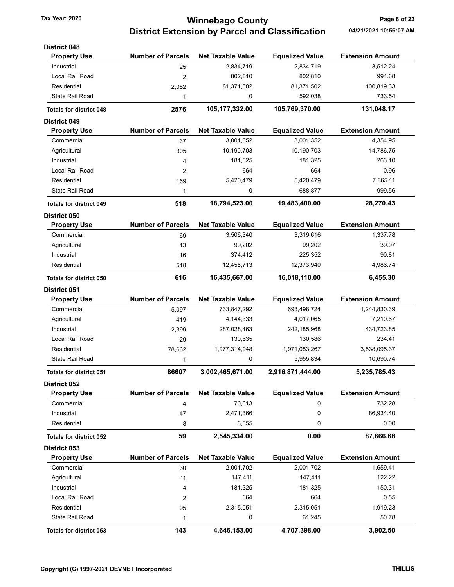# Tax Year: 2020 **Winnebago County Tax Year: 2020** Page 8 of 22 District Extension by Parcel and Classification 04/21/2021 10:56:07 AM

| <b>District 048</b>            |                          |                          |                        |                         |
|--------------------------------|--------------------------|--------------------------|------------------------|-------------------------|
| <b>Property Use</b>            | <b>Number of Parcels</b> | <b>Net Taxable Value</b> | <b>Equalized Value</b> | <b>Extension Amount</b> |
| Industrial                     | 25                       | 2,834,719                | 2,834,719              | 3,512.24                |
| Local Rail Road                | $\overline{2}$           | 802,810                  | 802,810                | 994.68                  |
| Residential                    | 2,082                    | 81,371,502               | 81,371,502             | 100,819.33              |
| <b>State Rail Road</b>         | 1                        | 0                        | 592,038                | 733.54                  |
| <b>Totals for district 048</b> | 2576                     | 105,177,332.00           | 105,769,370.00         | 131,048.17              |
| <b>District 049</b>            |                          |                          |                        |                         |
| <b>Property Use</b>            | <b>Number of Parcels</b> | <b>Net Taxable Value</b> | <b>Equalized Value</b> | <b>Extension Amount</b> |
| Commercial                     | 37                       | 3,001,352                | 3,001,352              | 4,354.95                |
| Agricultural                   | 305                      | 10,190,703               | 10,190,703             | 14,786.75               |
| Industrial                     | 4                        | 181,325                  | 181,325                | 263.10                  |
| Local Rail Road                | 2                        | 664                      | 664                    | 0.96                    |
| Residential                    | 169                      | 5,420,479                | 5,420,479              | 7,865.11                |
| <b>State Rail Road</b>         | 1                        | 0                        | 688,877                | 999.56                  |
| <b>Totals for district 049</b> | 518                      | 18,794,523.00            | 19,483,400.00          | 28,270.43               |
| <b>District 050</b>            |                          |                          |                        |                         |
| <b>Property Use</b>            | <b>Number of Parcels</b> | <b>Net Taxable Value</b> | <b>Equalized Value</b> | <b>Extension Amount</b> |
| Commercial                     | 69                       | 3,506,340                | 3,319,616              | 1,337.78                |
| Agricultural                   | 13                       | 99,202                   | 99,202                 | 39.97                   |
| Industrial                     | 16                       | 374,412                  | 225,352                | 90.81                   |
| Residential                    | 518                      | 12,455,713               | 12,373,940             | 4,986.74                |
| <b>Totals for district 050</b> | 616                      | 16,435,667.00            | 16,018,110.00          | 6,455.30                |
| <b>District 051</b>            |                          |                          |                        |                         |
| <b>Property Use</b>            | <b>Number of Parcels</b> | <b>Net Taxable Value</b> | <b>Equalized Value</b> | <b>Extension Amount</b> |
| Commercial                     | 5,097                    | 733,847,292              | 693,498,724            | 1,244,830.39            |
| Agricultural                   | 419                      | 4,144,333                | 4,017,065              | 7,210.67                |
| Industrial                     | 2,399                    | 287,028,463              | 242,185,968            | 434,723.85              |
| Local Rail Road                | 29                       | 130,635                  | 130,586                | 234.41                  |
| Residential                    | 78,662                   | 1,977,314,948            | 1,971,083,267          | 3,538,095.37            |
| <b>State Rail Road</b>         | $\mathbf{1}$             | 0                        | 5,955,834              | 10,690.74               |
| <b>Totals for district 051</b> | 86607                    | 3,002,465,671.00         | 2,916,871,444.00       | 5,235,785.43            |
| <b>District 052</b>            |                          |                          |                        |                         |
| <b>Property Use</b>            | <b>Number of Parcels</b> | <b>Net Taxable Value</b> | <b>Equalized Value</b> | <b>Extension Amount</b> |
| Commercial                     | 4                        | 70,613                   | 0                      | 732.28                  |
| Industrial                     | 47                       | 2,471,366                | 0                      | 86,934.40               |
| Residential                    | 8                        | 3,355                    | 0                      | 0.00                    |
| <b>Totals for district 052</b> | 59                       | 2,545,334.00             | 0.00                   | 87,666.68               |
| District 053                   |                          |                          |                        |                         |
| <b>Property Use</b>            | <b>Number of Parcels</b> | <b>Net Taxable Value</b> | <b>Equalized Value</b> | <b>Extension Amount</b> |
| Commercial                     | 30                       | 2,001,702                | 2,001,702              | 1,659.41                |
| Agricultural                   | 11                       | 147,411                  | 147,411                | 122.22                  |
| Industrial                     | 4                        | 181,325                  | 181,325                | 150.31                  |
| Local Rail Road                | 2                        | 664                      | 664                    | 0.55                    |
| Residential                    | 95                       | 2,315,051                | 2,315,051              | 1,919.23                |
| <b>State Rail Road</b>         | 1                        | 0                        | 61,245                 | 50.78                   |
| Totals for district 053        | 143                      | 4,646,153.00             | 4,707,398.00           | 3,902.50                |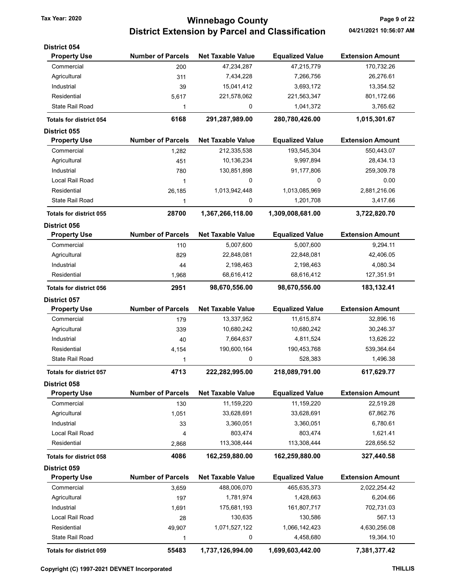# Tax Year: 2020 **Winnebago County Tax Year: 2020** Page 9 of 22 District Extension by Parcel and Classification 04/21/2021 10:56:07 AM

| <b>District 054</b>            |                          |                          |                        |                         |
|--------------------------------|--------------------------|--------------------------|------------------------|-------------------------|
| <b>Property Use</b>            | <b>Number of Parcels</b> | <b>Net Taxable Value</b> | <b>Equalized Value</b> | <b>Extension Amount</b> |
| Commercial                     | 200                      | 47,234,287               | 47,215,779             | 170,732.26              |
| Agricultural                   | 311                      | 7,434,228                | 7,266,756              | 26,276.61               |
| Industrial                     | 39                       | 15,041,412               | 3,693,172              | 13,354.52               |
| Residential                    | 5,617                    | 221,578,062              | 221,563,347            | 801,172.66              |
| <b>State Rail Road</b>         | 1                        | 0                        | 1,041,372              | 3,765.62                |
| <b>Totals for district 054</b> | 6168                     | 291,287,989.00           | 280,780,426.00         | 1,015,301.67            |
| <b>District 055</b>            |                          |                          |                        |                         |
| <b>Property Use</b>            | <b>Number of Parcels</b> | <b>Net Taxable Value</b> | <b>Equalized Value</b> | <b>Extension Amount</b> |
| Commercial                     | 1,282                    | 212,335,538              | 193,545,304            | 550,443.07              |
| Agricultural                   | 451                      | 10,136,234               | 9,997,894              | 28,434.13               |
| Industrial                     | 780                      | 130,851,898              | 91,177,806             | 259,309.78              |
| Local Rail Road                | 1                        | 0                        | 0                      | 0.00                    |
| Residential                    | 26,185                   | 1,013,942,448            | 1,013,085,969          | 2,881,216.06            |
| State Rail Road                | 1                        | 0                        | 1,201,708              | 3,417.66                |
| <b>Totals for district 055</b> | 28700                    | 1,367,266,118.00         | 1,309,008,681.00       | 3,722,820.70            |
| <b>District 056</b>            |                          |                          |                        |                         |
| <b>Property Use</b>            | <b>Number of Parcels</b> | <b>Net Taxable Value</b> | <b>Equalized Value</b> | <b>Extension Amount</b> |
| Commercial                     | 110                      | 5,007,600                | 5,007,600              | 9.294.11                |
| Agricultural                   | 829                      | 22,848,081               | 22,848,081             | 42,406.05               |
| Industrial                     | 44                       | 2,198,463                | 2,198,463              | 4,080.34                |
| Residential                    | 1,968                    | 68,616,412               | 68,616,412             | 127,351.91              |
| <b>Totals for district 056</b> | 2951                     | 98,670,556.00            | 98,670,556.00          | 183,132.41              |
| <b>District 057</b>            |                          |                          |                        |                         |
| <b>Property Use</b>            | <b>Number of Parcels</b> | <b>Net Taxable Value</b> | <b>Equalized Value</b> | <b>Extension Amount</b> |
| Commercial                     | 179                      | 13,337,952               | 11,615,874             | 32,896.16               |
| Agricultural                   | 339                      | 10,680,242               | 10,680,242             | 30,246.37               |
| Industrial                     | 40                       | 7,664,637                | 4,811,524              | 13,626.22               |
| Residential                    | 4,154                    | 190,600,164              | 190,453,768            | 539,364.64              |
| <b>State Rail Road</b>         | 1                        | 0                        | 528,383                | 1,496.38                |
| <b>Totals for district 057</b> | 4713                     | 222,282,995.00           | 218,089,791.00         | 617,629.77              |
| <b>District 058</b>            |                          |                          |                        |                         |
| <b>Property Use</b>            | <b>Number of Parcels</b> | <b>Net Taxable Value</b> | <b>Equalized Value</b> | <b>Extension Amount</b> |
| Commercial                     | 130                      | 11,159,220               | 11,159,220             | 22,519.28               |
| Agricultural                   | 1,051                    | 33,628,691               | 33,628,691             | 67,862.76               |
| Industrial                     | 33                       | 3,360,051                | 3,360,051              | 6,780.61                |
| Local Rail Road                | 4                        | 803,474                  | 803,474                | 1,621.41                |
| Residential                    | 2,868                    | 113,308,444              | 113,308,444            | 228,656.52              |
| <b>Totals for district 058</b> | 4086                     | 162,259,880.00           | 162,259,880.00         | 327,440.58              |
| District 059                   |                          |                          |                        |                         |
| <b>Property Use</b>            | <b>Number of Parcels</b> | <b>Net Taxable Value</b> | <b>Equalized Value</b> | <b>Extension Amount</b> |
| Commercial                     | 3,659                    | 488,006,070              | 465,635,373            | 2,022,254.42            |
| Agricultural                   | 197                      | 1,781,974                | 1,428,663              | 6,204.66                |
| Industrial                     | 1,691                    | 175,681,193              | 161,807,717            | 702,731.03              |
| Local Rail Road                | 28                       | 130,635                  | 130,586                | 567.13                  |
| Residential                    | 49,907                   | 1,071,527,122            | 1,066,142,423          | 4,630,256.08            |
| State Rail Road                | 1                        | 0                        | 4,458,680              | 19,364.10               |
| Totals for district 059        | 55483                    | 1,737,126,994.00         | 1,699,603,442.00       | 7,381,377.42            |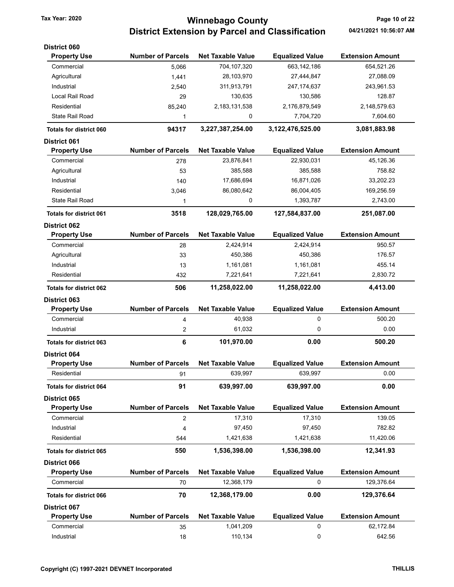# Tax Year: 2020 **Winnebago County Tax Year: 2020** Page 10 of 22 District Extension by Parcel and Classification 04/21/2021 10:56:07 AM

| <b>District 060</b>                        |                          |                          |                        |                         |
|--------------------------------------------|--------------------------|--------------------------|------------------------|-------------------------|
| <b>Property Use</b>                        | <b>Number of Parcels</b> | <b>Net Taxable Value</b> | <b>Equalized Value</b> | <b>Extension Amount</b> |
| Commercial                                 | 5,066                    | 704,107,320              | 663, 142, 186          | 654,521.26              |
| Agricultural                               | 1,441                    | 28,103,970               | 27,444,847             | 27,088.09               |
| Industrial                                 | 2,540                    | 311,913,791              | 247, 174, 637          | 243,961.53              |
| Local Rail Road                            | 29                       | 130,635                  | 130,586                | 128.87                  |
| Residential                                | 85,240                   | 2,183,131,538            | 2,176,879,549          | 2,148,579.63            |
| State Rail Road                            | 1                        | 0                        | 7,704,720              | 7,604.60                |
| <b>Totals for district 060</b>             | 94317                    | 3,227,387,254.00         | 3,122,476,525.00       | 3,081,883.98            |
| <b>District 061</b>                        |                          |                          |                        |                         |
| <b>Property Use</b>                        | <b>Number of Parcels</b> | <b>Net Taxable Value</b> | <b>Equalized Value</b> | <b>Extension Amount</b> |
| Commercial                                 | 278                      | 23,876,841               | 22,930,031             | 45,126.36               |
| Agricultural                               | 53                       | 385,588                  | 385,588                | 758.82                  |
| Industrial                                 | 140                      | 17,686,694               | 16,871,026             | 33,202.23               |
| Residential                                | 3,046                    | 86,080,642               | 86,004,405             | 169,256.59              |
| <b>State Rail Road</b>                     | 1                        | 0                        | 1,393,787              | 2,743.00                |
|                                            |                          |                          |                        |                         |
| <b>Totals for district 061</b>             | 3518                     | 128,029,765.00           | 127,584,837.00         | 251,087.00              |
| <b>District 062</b><br><b>Property Use</b> | <b>Number of Parcels</b> | <b>Net Taxable Value</b> | <b>Equalized Value</b> | <b>Extension Amount</b> |
| Commercial                                 |                          | 2,424,914                | 2,424,914              | 950.57                  |
| Agricultural                               | 28<br>33                 | 450,386                  | 450,386                | 176.57                  |
|                                            |                          |                          |                        | 455.14                  |
| Industrial                                 | 13                       | 1,161,081                | 1,161,081              |                         |
| Residential                                | 432                      | 7,221,641                | 7,221,641              | 2,830.72                |
| <b>Totals for district 062</b>             | 506                      | 11,258,022.00            | 11,258,022.00          | 4,413.00                |
| <b>District 063</b>                        |                          |                          |                        |                         |
| <b>Property Use</b>                        | <b>Number of Parcels</b> | <b>Net Taxable Value</b> | <b>Equalized Value</b> | <b>Extension Amount</b> |
| Commercial                                 | 4                        | 40,938                   | 0                      | 500.20                  |
| Industrial                                 | 2                        | 61,032                   | 0                      | 0.00                    |
| <b>Totals for district 063</b>             | 6                        | 101,970.00               | 0.00                   | 500.20                  |
| <b>District 064</b>                        |                          |                          |                        |                         |
| <b>Property Use</b>                        | <b>Number of Parcels</b> | <b>Net Taxable Value</b> | <b>Equalized Value</b> | <b>Extension Amount</b> |
| Residential                                | 91                       | 639,997                  | 639,997                | 0.00                    |
| <b>Totals for district 064</b>             | 91                       | 639,997.00               | 639,997.00             | 0.00                    |
| <b>District 065</b>                        |                          |                          |                        |                         |
| <b>Property Use</b>                        | <b>Number of Parcels</b> | <b>Net Taxable Value</b> | <b>Equalized Value</b> | <b>Extension Amount</b> |
| Commercial                                 | 2                        | 17,310                   | 17,310                 | 139.05                  |
| Industrial                                 | 4                        | 97,450                   | 97,450                 | 782.82                  |
| Residential                                | 544                      | 1,421,638                | 1,421,638              | 11,420.06               |
| <b>Totals for district 065</b>             | 550                      | 1,536,398.00             | 1,536,398.00           | 12,341.93               |
| District 066                               |                          |                          |                        |                         |
| <b>Property Use</b>                        | <b>Number of Parcels</b> | <b>Net Taxable Value</b> | <b>Equalized Value</b> | <b>Extension Amount</b> |
| Commercial                                 | 70                       | 12,368,179               | 0                      | 129,376.64              |
| <b>Totals for district 066</b>             | 70                       | 12,368,179.00            | 0.00                   | 129,376.64              |
| <b>District 067</b>                        |                          |                          |                        |                         |
| <b>Property Use</b>                        | <b>Number of Parcels</b> | <b>Net Taxable Value</b> | <b>Equalized Value</b> | <b>Extension Amount</b> |
| Commercial                                 | 35                       | 1,041,209                | 0                      | 62,172.84               |
|                                            |                          |                          |                        |                         |
| Industrial                                 | 18                       | 110,134                  | 0                      | 642.56                  |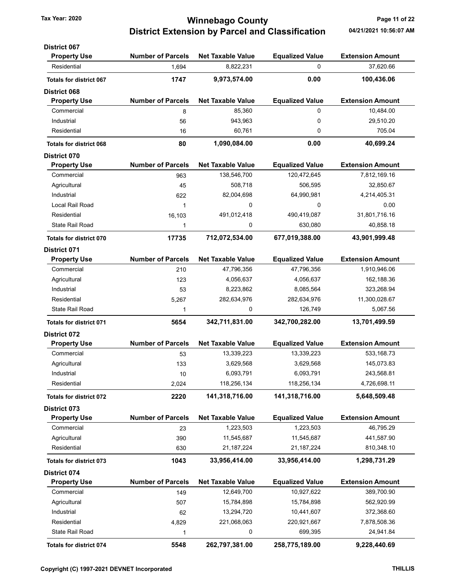## Tax Year: 2020 **120 COUNTY** Tax Year: 2020 **Page 11 of 22** District Extension by Parcel and Classification 04/21/2021 10:56:07 AM

| <b>District 067</b>            |                          |                          |                        |                         |
|--------------------------------|--------------------------|--------------------------|------------------------|-------------------------|
| <b>Property Use</b>            | <b>Number of Parcels</b> | <b>Net Taxable Value</b> | <b>Equalized Value</b> | <b>Extension Amount</b> |
| Residential                    | 1,694                    | 8,822,231                | $\mathbf 0$            | 37,620.66               |
| <b>Totals for district 067</b> | 1747                     | 9,973,574.00             | 0.00                   | 100,436.06              |
| <b>District 068</b>            |                          |                          |                        |                         |
| <b>Property Use</b>            | <b>Number of Parcels</b> | <b>Net Taxable Value</b> | <b>Equalized Value</b> | <b>Extension Amount</b> |
| Commercial                     | 8                        | 85,360                   | 0                      | 10,484.00               |
| Industrial                     | 56                       | 943,963                  | 0                      | 29,510.20               |
| Residential                    | 16                       | 60,761                   | 0                      | 705.04                  |
| <b>Totals for district 068</b> | 80                       | 1,090,084.00             | 0.00                   | 40,699.24               |
| <b>District 070</b>            |                          |                          |                        |                         |
| <b>Property Use</b>            | <b>Number of Parcels</b> | <b>Net Taxable Value</b> | <b>Equalized Value</b> | <b>Extension Amount</b> |
| Commercial                     | 963                      | 138,546,700              | 120,472,645            | 7,812,169.16            |
| Agricultural                   | 45                       | 508,718                  | 506,595                | 32,850.67               |
| Industrial                     | 622                      | 82,004,698               | 64,990,981             | 4,214,405.31            |
| Local Rail Road                | 1                        | 0                        | 0                      | 0.00                    |
| Residential                    | 16,103                   | 491,012,418              | 490,419,087            | 31,801,716.16           |
| State Rail Road                | 1                        | 0                        | 630,080                | 40,858.18               |
| <b>Totals for district 070</b> | 17735                    | 712,072,534.00           | 677,019,388.00         | 43,901,999.48           |
| <b>District 071</b>            |                          |                          |                        |                         |
| <b>Property Use</b>            | <b>Number of Parcels</b> | <b>Net Taxable Value</b> | <b>Equalized Value</b> | <b>Extension Amount</b> |
| Commercial                     | 210                      | 47,796,356               | 47,796,356             | 1,910,946.06            |
| Agricultural                   | 123                      | 4,056,637                | 4,056,637              | 162,188.36              |
| Industrial                     | 53                       | 8,223,862                | 8,085,564              | 323,268.94              |
| Residential                    | 5,267                    | 282,634,976              | 282,634,976            | 11,300,028.67           |
| State Rail Road                | 1                        | 0                        | 126,749                | 5,067.56                |
| <b>Totals for district 071</b> | 5654                     | 342,711,831.00           | 342,700,282.00         | 13,701,499.59           |
| <b>District 072</b>            |                          |                          |                        |                         |
| <b>Property Use</b>            | <b>Number of Parcels</b> | <b>Net Taxable Value</b> | <b>Equalized Value</b> | <b>Extension Amount</b> |
| Commercial                     | 53                       | 13,339,223               | 13,339,223             | 533, 168.73             |
| Agricultural                   | 133                      | 3,629,568                | 3,629,568              | 145,073.83              |
| Industrial                     | 10                       | 6,093,791                | 6,093,791              | 243,568.81              |
| Residential                    | 2,024                    | 118,256,134              | 118,256,134            | 4,726,698.11            |
| <b>Totals for district 072</b> | 2220                     | 141,318,716.00           | 141,318,716.00         | 5,648,509.48            |
| District 073                   |                          |                          |                        |                         |
| <b>Property Use</b>            | <b>Number of Parcels</b> | <b>Net Taxable Value</b> | <b>Equalized Value</b> | <b>Extension Amount</b> |
| Commercial                     | 23                       | 1,223,503                | 1,223,503              | 46,795.29               |
| Agricultural                   | 390                      | 11,545,687               | 11,545,687             | 441,587.90              |
| Residential                    | 630                      | 21, 187, 224             | 21, 187, 224           | 810,348.10              |
| <b>Totals for district 073</b> | 1043                     | 33,956,414.00            | 33,956,414.00          | 1,298,731.29            |
| District 074                   |                          |                          |                        |                         |
| <b>Property Use</b>            | <b>Number of Parcels</b> | <b>Net Taxable Value</b> | <b>Equalized Value</b> | <b>Extension Amount</b> |
| Commercial                     | 149                      | 12,649,700               | 10,927,622             | 389,700.90              |
| Agricultural                   | 507                      | 15,784,898               | 15,784,898             | 562,920.99              |
| Industrial                     | 62                       | 13,294,720               | 10,441,607             | 372,368.60              |
| Residential                    | 4,829                    | 221,068,063              | 220,921,667            | 7,878,508.36            |
| <b>State Rail Road</b>         | 1                        | 0                        | 699,395                | 24,941.84               |
| Totals for district 074        | 5548                     | 262,797,381.00           | 258,775,189.00         | 9,228,440.69            |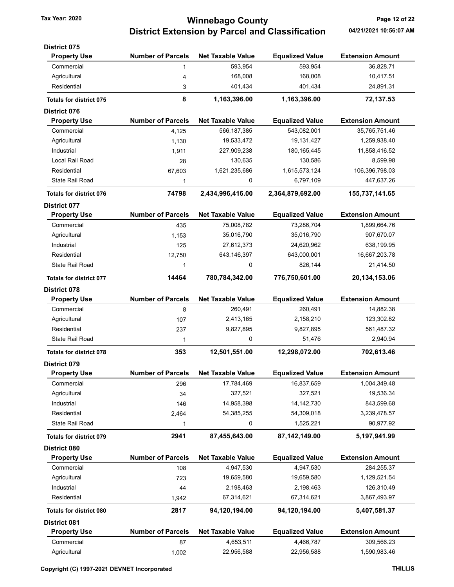# Tax Year: 2020 **Winnebago County Tax Year: 2020** Page 12 of 22 District Extension by Parcel and Classification 04/21/2021 10:56:07 AM

| <b>District 075</b>            |                          |                          |                        |                         |
|--------------------------------|--------------------------|--------------------------|------------------------|-------------------------|
| <b>Property Use</b>            | <b>Number of Parcels</b> | <b>Net Taxable Value</b> | <b>Equalized Value</b> | <b>Extension Amount</b> |
| Commercial                     | 1                        | 593,954                  | 593,954                | 36,828.71               |
| Agricultural                   | 4                        | 168,008                  | 168,008                | 10,417.51               |
| Residential                    | 3                        | 401,434                  | 401,434                | 24,891.31               |
| <b>Totals for district 075</b> | 8                        | 1,163,396.00             | 1,163,396.00           | 72,137.53               |
| <b>District 076</b>            |                          |                          |                        |                         |
| <b>Property Use</b>            | <b>Number of Parcels</b> | <b>Net Taxable Value</b> | <b>Equalized Value</b> | <b>Extension Amount</b> |
| Commercial                     | 4,125                    | 566, 187, 385            | 543,082,001            | 35,765,751.46           |
| Agricultural                   | 1,130                    | 19,533,472               | 19,131,427             | 1,259,938.40            |
| Industrial                     | 1,911                    | 227,909,238              | 180, 165, 445          | 11,858,416.52           |
| Local Rail Road                | 28                       | 130,635                  | 130,586                | 8,599.98                |
| Residential                    | 67,603                   | 1,621,235,686            | 1,615,573,124          | 106,396,798.03          |
| State Rail Road                | 1                        | 0                        | 6,797,109              | 447,637.26              |
| <b>Totals for district 076</b> | 74798                    | 2,434,996,416.00         | 2,364,879,692.00       | 155,737,141.65          |
| <b>District 077</b>            |                          |                          |                        |                         |
| <b>Property Use</b>            | <b>Number of Parcels</b> | <b>Net Taxable Value</b> | <b>Equalized Value</b> | <b>Extension Amount</b> |
| Commercial                     | 435                      | 75,008,782               | 73,286,704             | 1,899,664.76            |
| Agricultural                   | 1,153                    | 35,016,790               | 35,016,790             | 907,670.07              |
| Industrial                     | 125                      | 27,612,373               | 24,620,962             | 638,199.95              |
| Residential                    | 12,750                   | 643,146,397              | 643,000,001            | 16,667,203.78           |
| <b>State Rail Road</b>         | 1                        | 0                        | 826,144                | 21,414.50               |
| <b>Totals for district 077</b> | 14464                    | 780,784,342.00           | 776,750,601.00         | 20, 134, 153.06         |
| <b>District 078</b>            |                          |                          |                        |                         |
| <b>Property Use</b>            | <b>Number of Parcels</b> | <b>Net Taxable Value</b> | <b>Equalized Value</b> | <b>Extension Amount</b> |
| Commercial                     | 8                        | 260,491                  | 260,491                | 14,882.38               |
| Agricultural                   | 107                      | 2,413,165                | 2,158,210              | 123,302.82              |
| Residential                    | 237                      | 9,827,895                | 9,827,895              | 561,487.32              |
| State Rail Road                | 1                        | 0                        | 51,476                 | 2,940.94                |
| <b>Totals for district 078</b> | 353                      | 12,501,551.00            | 12,298,072.00          | 702,613.46              |
| <b>District 079</b>            |                          |                          |                        |                         |
| <b>Property Use</b>            | <b>Number of Parcels</b> | <b>Net Taxable Value</b> | <b>Equalized Value</b> | <b>Extension Amount</b> |
| Commercial                     | 296                      | 17,784,469               | 16,837,659             | 1,004,349.48            |
| Agricultural                   | 34                       | 327,521                  | 327,521                | 19,536.34               |
| Industrial                     | 146                      | 14,958,398               | 14, 142, 730           | 843,599.68              |
| Residential                    | 2,464                    | 54,385,255               | 54,309,018             | 3,239,478.57            |
| <b>State Rail Road</b>         | 1                        | 0                        | 1,525,221              | 90,977.92               |
| <b>Totals for district 079</b> | 2941                     | 87,455,643.00            | 87,142,149.00          | 5,197,941.99            |
| District 080                   |                          |                          |                        |                         |
| <b>Property Use</b>            | <b>Number of Parcels</b> | <b>Net Taxable Value</b> | <b>Equalized Value</b> | <b>Extension Amount</b> |
| Commercial                     | 108                      | 4,947,530                | 4,947,530              | 284,255.37              |
| Agricultural                   | 723                      | 19,659,580               | 19,659,580             | 1,129,521.54            |
| Industrial                     | 44                       | 2,198,463                | 2,198,463              | 126,310.49              |
| Residential                    | 1,942                    | 67,314,621               | 67,314,621             | 3,867,493.97            |
| <b>Totals for district 080</b> | 2817                     | 94,120,194.00            | 94,120,194.00          | 5,407,581.37            |
| <b>District 081</b>            |                          |                          |                        |                         |
| <b>Property Use</b>            | <b>Number of Parcels</b> | <b>Net Taxable Value</b> | <b>Equalized Value</b> | <b>Extension Amount</b> |
| Commercial                     | 87                       | 4,653,511                | 4,466,787              | 309,566.23              |
| Agricultural                   | 1,002                    | 22,956,588               | 22,956,588             | 1,590,983.46            |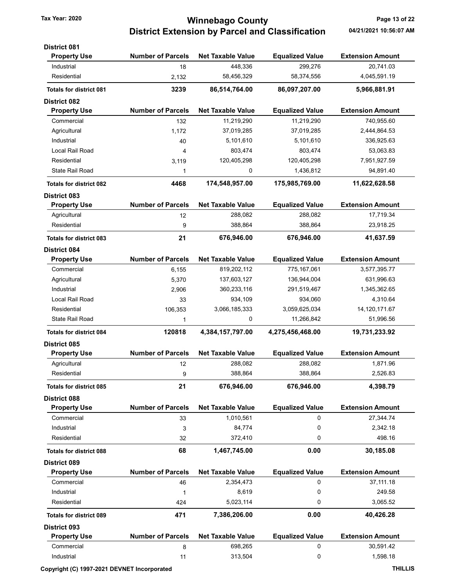## Tax Year: 2020 **State 12 of 22 Ultimate 12 of 22** Minnebago County District Extension by Parcel and Classification 04/21/2021 10:56:07 AM

| <b>District 081</b>            |                          |                          |                        |                         |
|--------------------------------|--------------------------|--------------------------|------------------------|-------------------------|
| <b>Property Use</b>            | <b>Number of Parcels</b> | <b>Net Taxable Value</b> | <b>Equalized Value</b> | <b>Extension Amount</b> |
| Industrial                     | 18                       | 448,336                  | 299,276                | 20.741.03               |
| Residential                    | 2,132                    | 58,456,329               | 58,374,556             | 4,045,591.19            |
| <b>Totals for district 081</b> | 3239                     | 86,514,764.00            | 86,097,207.00          | 5,966,881.91            |
| <b>District 082</b>            |                          |                          |                        |                         |
| <b>Property Use</b>            | <b>Number of Parcels</b> | <b>Net Taxable Value</b> | <b>Equalized Value</b> | <b>Extension Amount</b> |
| Commercial                     | 132                      | 11,219,290               | 11,219,290             | 740,955.60              |
| Agricultural                   | 1,172                    | 37,019,285               | 37,019,285             | 2,444,864.53            |
| Industrial                     | 40                       | 5,101,610                | 5,101,610              | 336,925.63              |
| Local Rail Road                | 4                        | 803,474                  | 803,474                | 53,063.83               |
| Residential                    | 3,119                    | 120,405,298              | 120,405,298            | 7,951,927.59            |
| <b>State Rail Road</b>         | 1                        | 0                        | 1,436,812              | 94,891.40               |
| <b>Totals for district 082</b> | 4468                     | 174,548,957.00           | 175,985,769.00         | 11,622,628.58           |
| <b>District 083</b>            |                          |                          |                        |                         |
| <b>Property Use</b>            | <b>Number of Parcels</b> | <b>Net Taxable Value</b> | <b>Equalized Value</b> | <b>Extension Amount</b> |
| Agricultural                   | 12                       | 288,082                  | 288,082                | 17,719.34               |
| Residential                    | 9                        | 388,864                  | 388,864                | 23,918.25               |
| <b>Totals for district 083</b> | 21                       | 676,946.00               | 676,946.00             | 41,637.59               |
| <b>District 084</b>            |                          |                          |                        |                         |
| <b>Property Use</b>            | <b>Number of Parcels</b> | <b>Net Taxable Value</b> | <b>Equalized Value</b> | <b>Extension Amount</b> |
| Commercial                     | 6,155                    | 819,202,112              | 775,167,061            | 3,577,395.77            |
| Agricultural                   | 5,370                    | 137,603,127              | 136,944,004            | 631,996.63              |
| Industrial                     | 2,906                    | 360,233,116              | 291,519,467            | 1,345,362.65            |
| Local Rail Road                | 33                       | 934,109                  | 934,060                | 4,310.64                |
| Residential                    | 106,353                  | 3,066,185,333            | 3,059,625,034          | 14,120,171.67           |
| State Rail Road                | 1                        | 0                        | 11,266,842             | 51,996.56               |
| <b>Totals for district 084</b> | 120818                   | 4,384,157,797.00         | 4,275,456,468.00       | 19,731,233.92           |
| <b>District 085</b>            |                          |                          |                        |                         |
| <b>Property Use</b>            | <b>Number of Parcels</b> | <b>Net Taxable Value</b> | <b>Equalized Value</b> | <b>Extension Amount</b> |
| Agricultural                   | 12                       | 288,082                  | 288,082                | 1,871.96                |
| Residential                    | 9                        | 388,864                  | 388,864                | 2,526.83                |
| <b>Totals for district 085</b> | 21                       | 676,946.00               | 676,946.00             | 4,398.79                |
| <b>District 088</b>            |                          |                          |                        |                         |
| <b>Property Use</b>            | <b>Number of Parcels</b> | <b>Net Taxable Value</b> | <b>Equalized Value</b> | <b>Extension Amount</b> |
| Commercial                     | 33                       | 1,010,561                | 0                      | 27,344.74               |
| Industrial                     | 3                        | 84,774                   | 0                      | 2,342.18                |
| Residential                    | 32                       | 372,410                  | 0                      | 498.16                  |
| <b>Totals for district 088</b> | 68                       | 1,467,745.00             | 0.00                   | 30,185.08               |
| <b>District 089</b>            |                          |                          |                        |                         |
| <b>Property Use</b>            | <b>Number of Parcels</b> | <b>Net Taxable Value</b> | <b>Equalized Value</b> | <b>Extension Amount</b> |
| Commercial                     | 46                       | 2,354,473                | 0                      | 37,111.18               |
| Industrial                     | 1                        | 8,619                    | 0                      | 249.58                  |
| Residential                    | 424                      | 5,023,114                | 0                      | 3,065.52                |
| <b>Totals for district 089</b> | 471                      | 7,386,206.00             | 0.00                   | 40,426.28               |
| <b>District 093</b>            |                          |                          |                        |                         |
| <b>Property Use</b>            | <b>Number of Parcels</b> | <b>Net Taxable Value</b> | <b>Equalized Value</b> | <b>Extension Amount</b> |
| Commercial                     | 8                        | 698,265                  | 0                      | 30,591.42               |
| Industrial                     | 11                       | 313,504                  | 0                      | 1,598.18                |
|                                |                          |                          |                        |                         |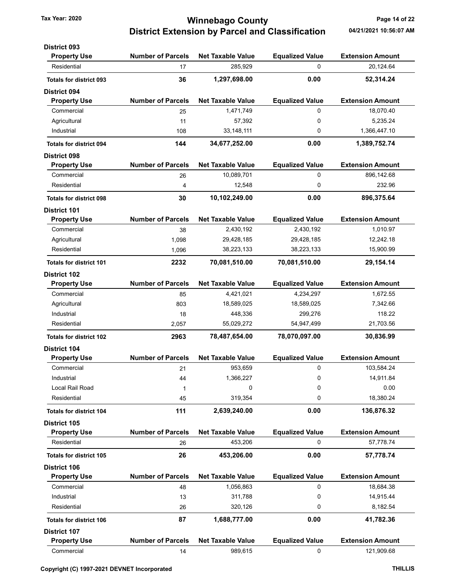## Tax Year: 2020 **Tax Year: 2020** Page 14 of 22 District Extension by Parcel and Classification 04/21/2021 10:56:07 AM

| <b>District 093</b>            |                          |                          |                        |                         |
|--------------------------------|--------------------------|--------------------------|------------------------|-------------------------|
| <b>Property Use</b>            | <b>Number of Parcels</b> | <b>Net Taxable Value</b> | <b>Equalized Value</b> | <b>Extension Amount</b> |
| Residential                    | 17                       | 285,929                  | $\Omega$               | 20,124.64               |
| <b>Totals for district 093</b> | 36                       | 1,297,698.00             | 0.00                   | 52,314.24               |
| <b>District 094</b>            |                          |                          |                        |                         |
| <b>Property Use</b>            | <b>Number of Parcels</b> | <b>Net Taxable Value</b> | <b>Equalized Value</b> | <b>Extension Amount</b> |
| Commercial                     | 25                       | 1,471,749                | 0                      | 18,070.40               |
| Agricultural                   | 11                       | 57,392                   | 0                      | 5,235.24                |
| Industrial                     | 108                      | 33, 148, 111             | 0                      | 1,366,447.10            |
| <b>Totals for district 094</b> | 144                      | 34,677,252.00            | 0.00                   | 1,389,752.74            |
| <b>District 098</b>            |                          |                          |                        |                         |
| <b>Property Use</b>            | <b>Number of Parcels</b> | <b>Net Taxable Value</b> | <b>Equalized Value</b> | <b>Extension Amount</b> |
| Commercial                     | 26                       | 10,089,701               | 0                      | 896,142.68              |
| Residential                    | 4                        | 12,548                   | $\mathbf 0$            | 232.96                  |
| <b>Totals for district 098</b> | 30                       | 10,102,249.00            | 0.00                   | 896,375.64              |
| <b>District 101</b>            |                          |                          |                        |                         |
| <b>Property Use</b>            | <b>Number of Parcels</b> | <b>Net Taxable Value</b> | <b>Equalized Value</b> | <b>Extension Amount</b> |
| Commercial                     | 38                       | 2,430,192                | 2,430,192              | 1,010.97                |
| Agricultural                   | 1,098                    | 29,428,185               | 29,428,185             | 12,242.18               |
| Residential                    | 1,096                    | 38,223,133               | 38,223,133             | 15,900.99               |
| <b>Totals for district 101</b> | 2232                     | 70,081,510.00            | 70,081,510.00          | 29,154.14               |
| <b>District 102</b>            |                          |                          |                        |                         |
| <b>Property Use</b>            | <b>Number of Parcels</b> | <b>Net Taxable Value</b> | <b>Equalized Value</b> | <b>Extension Amount</b> |
| Commercial                     | 85                       | 4,421,021                | 4,234,297              | 1,672.55                |
| Agricultural                   | 803                      | 18,589,025               | 18,589,025             | 7,342.66                |
| Industrial                     | 18                       | 448,336                  | 299,276                | 118.22                  |
| Residential                    | 2,057                    | 55,029,272               | 54,947,499             | 21,703.56               |
| <b>Totals for district 102</b> | 2963                     | 78,487,654.00            | 78,070,097.00          | 30,836.99               |
| <b>District 104</b>            |                          |                          |                        |                         |
| <b>Property Use</b>            | <b>Number of Parcels</b> | <b>Net Taxable Value</b> | <b>Equalized Value</b> | <b>Extension Amount</b> |
| Commercial                     | 21                       | 953,659                  | 0                      | 103,584.24              |
| Industrial                     | 44                       | 1,366,227                | 0                      | 14,911.84               |
| Local Rail Road                | 1                        | 0                        | 0                      | 0.00                    |
| Residential                    | 45                       | 319,354                  | 0                      | 18,380.24               |
| <b>Totals for district 104</b> | 111                      | 2,639,240.00             | 0.00                   | 136,876.32              |
| <b>District 105</b>            |                          |                          |                        |                         |
| <b>Property Use</b>            | <b>Number of Parcels</b> | <b>Net Taxable Value</b> | <b>Equalized Value</b> | <b>Extension Amount</b> |
| Residential                    | 26                       | 453,206                  | 0                      | 57,778.74               |
| <b>Totals for district 105</b> | 26                       | 453,206.00               | 0.00                   | 57,778.74               |
| District 106                   |                          |                          |                        |                         |
| <b>Property Use</b>            | <b>Number of Parcels</b> | <b>Net Taxable Value</b> | <b>Equalized Value</b> | <b>Extension Amount</b> |
| Commercial                     | 48                       | 1,056,863                | 0                      | 18,684.38               |
| Industrial                     | 13                       | 311,788                  | 0                      | 14,915.44               |
| Residential                    | 26                       | 320,126                  | 0                      | 8,182.54                |
| <b>Totals for district 106</b> | 87                       | 1,688,777.00             | 0.00                   | 41,782.36               |
| <b>District 107</b>            |                          |                          |                        |                         |
| <b>Property Use</b>            | <b>Number of Parcels</b> | <b>Net Taxable Value</b> | <b>Equalized Value</b> | <b>Extension Amount</b> |
| Commercial                     | 14                       | 989,615                  | 0                      | 121,909.68              |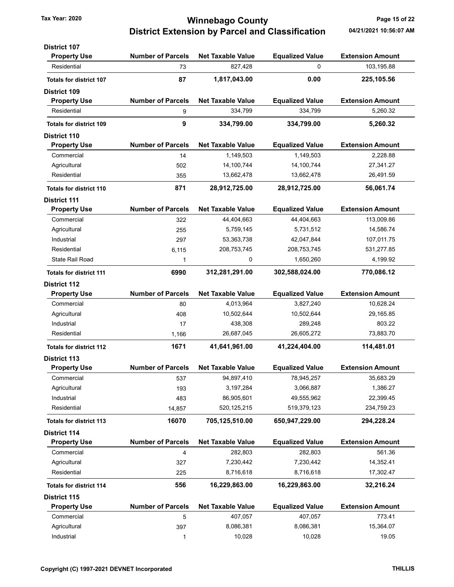### Tax Year: 2020 **Page 15 of 22 Winnebago County** Page 15 of 22 District Extension by Parcel and Classification 04/21/2021 10:56:07 AM

| <b>District 107</b>            |                          |                          |                        |                         |
|--------------------------------|--------------------------|--------------------------|------------------------|-------------------------|
| <b>Property Use</b>            | <b>Number of Parcels</b> | <b>Net Taxable Value</b> | <b>Equalized Value</b> | <b>Extension Amount</b> |
| Residential                    | 73                       | 827,428                  | 0                      | 103,195.88              |
| <b>Totals for district 107</b> | 87                       | 1,817,043.00             | 0.00                   | 225,105.56              |
| <b>District 109</b>            |                          |                          |                        |                         |
| <b>Property Use</b>            | <b>Number of Parcels</b> | <b>Net Taxable Value</b> | <b>Equalized Value</b> | <b>Extension Amount</b> |
| Residential                    | 9                        | 334,799                  | 334,799                | 5,260.32                |
| <b>Totals for district 109</b> | 9                        | 334,799.00               | 334,799.00             | 5,260.32                |
| <b>District 110</b>            |                          |                          |                        |                         |
| <b>Property Use</b>            | <b>Number of Parcels</b> | <b>Net Taxable Value</b> | <b>Equalized Value</b> | <b>Extension Amount</b> |
| Commercial                     | 14                       | 1,149,503                | 1,149,503              | 2,228.88                |
| Agricultural                   | 502                      | 14,100,744               | 14,100,744             | 27,341.27               |
| Residential                    | 355                      | 13,662,478               | 13,662,478             | 26,491.59               |
| <b>Totals for district 110</b> | 871                      | 28,912,725.00            | 28,912,725.00          | 56,061.74               |
| <b>District 111</b>            |                          |                          |                        |                         |
| <b>Property Use</b>            | <b>Number of Parcels</b> | <b>Net Taxable Value</b> | <b>Equalized Value</b> | <b>Extension Amount</b> |
| Commercial                     | 322                      | 44,404,663               | 44,404,663             | 113,009.86              |
| Agricultural                   | 255                      | 5,759,145                | 5,731,512              | 14,586.74               |
| Industrial                     | 297                      | 53,363,738               | 42,047,844             | 107,011.75              |
| Residential                    | 6,115                    | 208,753,745              | 208,753,745            | 531,277.85              |
| State Rail Road                | 1                        | 0                        | 1,650,260              | 4,199.92                |
| <b>Totals for district 111</b> | 6990                     | 312,281,291.00           | 302,588,024.00         | 770,086.12              |
| <b>District 112</b>            |                          |                          |                        |                         |
| <b>Property Use</b>            | <b>Number of Parcels</b> | <b>Net Taxable Value</b> | <b>Equalized Value</b> | <b>Extension Amount</b> |
| Commercial                     | 80                       | 4,013,964                | 3,827,240              | 10,628.24               |
| Agricultural                   | 408                      | 10,502,644               | 10,502,644             | 29,165.85               |
| Industrial                     | 17                       | 438,308                  | 289,248                | 803.22                  |
| Residential                    | 1,166                    | 26,687,045               | 26,605,272             | 73,883.70               |
| <b>Totals for district 112</b> | 1671                     | 41,641,961.00            | 41,224,404.00          | 114,481.01              |
| <b>District 113</b>            |                          |                          |                        |                         |
| <b>Property Use</b>            | <b>Number of Parcels</b> | <b>Net Taxable Value</b> | <b>Equalized Value</b> | <b>Extension Amount</b> |
| Commercial                     | 537                      | 94,897,410               | 78,945,257             | 35,683.29               |
| Agricultural                   | 193                      | 3,197,284                | 3,066,887              | 1,386.27                |
| Industrial                     | 483                      | 86,905,601               | 49,555,962             | 22,399.45               |
| Residential                    | 14,857                   | 520, 125, 215            | 519,379,123            | 234,759.23              |
| <b>Totals for district 113</b> | 16070                    | 705,125,510.00           | 650,947,229.00         | 294,228.24              |
| <b>District 114</b>            |                          |                          |                        |                         |
| <b>Property Use</b>            | <b>Number of Parcels</b> | <b>Net Taxable Value</b> | <b>Equalized Value</b> | <b>Extension Amount</b> |
| Commercial                     | 4                        | 282,803                  | 282,803                | 561.36                  |
| Agricultural                   | 327                      | 7,230,442                | 7,230,442              | 14,352.41               |
| Residential                    | 225                      | 8,716,618                | 8,716,618              | 17,302.47               |
| <b>Totals for district 114</b> | 556                      | 16,229,863.00            | 16,229,863.00          | 32,216.24               |
| District 115                   |                          |                          |                        |                         |
| <b>Property Use</b>            | <b>Number of Parcels</b> | <b>Net Taxable Value</b> | <b>Equalized Value</b> | <b>Extension Amount</b> |
| Commercial                     | 5                        | 407,057                  | 407,057                | 773.41                  |
| Agricultural                   | 397                      | 8,086,381                | 8,086,381              | 15,364.07               |
| Industrial                     | 1                        | 10,028                   | 10,028                 | 19.05                   |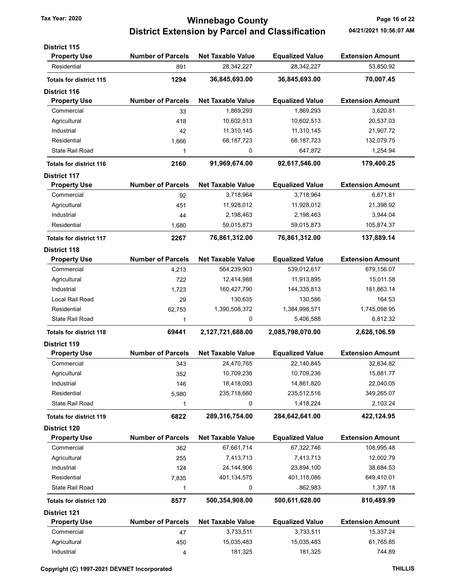### Tax Year: 2020 **Page 16 of 22 Winnebago County** Page 16 of 22 District Extension by Parcel and Classification 04/21/2021 10:56:07 AM

| <b>District 115</b>            |                          |                          |                        |                         |
|--------------------------------|--------------------------|--------------------------|------------------------|-------------------------|
| <b>Property Use</b>            | <b>Number of Parcels</b> | <b>Net Taxable Value</b> | <b>Equalized Value</b> | <b>Extension Amount</b> |
| Residential                    | 891                      | 28,342,227               | 28,342,227             | 53,850.92               |
| <b>Totals for district 115</b> | 1294                     | 36,845,693.00            | 36,845,693.00          | 70,007.45               |
| <b>District 116</b>            |                          |                          |                        |                         |
| <b>Property Use</b>            | <b>Number of Parcels</b> | <b>Net Taxable Value</b> | <b>Equalized Value</b> | <b>Extension Amount</b> |
| Commercial                     | 33                       | 1,869,293                | 1,869,293              | 3,620.81                |
| Agricultural                   | 418                      | 10,602,513               | 10,602,513             | 20,537.03               |
| Industrial                     | 42                       | 11,310,145               | 11,310,145             | 21,907.72               |
| Residential                    | 1,666                    | 68,187,723               | 68,187,723             | 132,079.75              |
| <b>State Rail Road</b>         | 1                        | 0                        | 647,872                | 1,254.94                |
| <b>Totals for district 116</b> | 2160                     | 91,969,674.00            | 92,617,546.00          | 179,400.25              |
| <b>District 117</b>            |                          |                          |                        |                         |
| <b>Property Use</b>            | <b>Number of Parcels</b> | <b>Net Taxable Value</b> | <b>Equalized Value</b> | <b>Extension Amount</b> |
| Commercial                     | 92                       | 3,718,964                | 3,718,964              | 6,671.81                |
| Agricultural                   | 451                      | 11,928,012               | 11,928,012             | 21,398.92               |
| Industrial                     | 44                       | 2,198,463                | 2,198,463              | 3,944.04                |
| Residential                    | 1,680                    | 59,015,873               | 59,015,873             | 105,874.37              |
| <b>Totals for district 117</b> | 2267                     | 76,861,312.00            | 76,861,312.00          | 137,889.14              |
| <b>District 118</b>            |                          |                          |                        |                         |
| <b>Property Use</b>            | <b>Number of Parcels</b> | <b>Net Taxable Value</b> | <b>Equalized Value</b> | <b>Extension Amount</b> |
| Commercial                     | 4,213                    | 564,239,903              | 539,012,617            | 679,156.07              |
| Agricultural                   | 722                      | 12,414,988               | 11,913,895             | 15,011.58               |
| Industrial                     | 1,723                    | 160,427,790              | 144,335,813            | 181,863.14              |
| Local Rail Road                | 29                       | 130,635                  | 130,586                | 164.53                  |
| Residential                    | 62,753                   | 1,390,508,372            | 1,384,998,571          | 1,745,098.95            |
| <b>State Rail Road</b>         | 1                        | 0                        | 5,406,588              | 6,812.32                |
| <b>Totals for district 118</b> | 69441                    | 2,127,721,688.00         | 2,085,798,070.00       | 2,628,106.59            |
| <b>District 119</b>            |                          |                          |                        |                         |
| <b>Property Use</b>            | <b>Number of Parcels</b> | <b>Net Taxable Value</b> | <b>Equalized Value</b> | <b>Extension Amount</b> |
| Commercial                     | 343                      | 24,470,765               | 22,140,845             | 32,834.82               |
| Agricultural                   | 352                      | 10,709,236               | 10,709,236             | 15,881.77               |
| Industrial                     | 146                      | 18,418,093               | 14,861,820             | 22,040.05               |
| Residential                    | 5,980                    | 235,718,660              | 235,512,516            | 349,265.07              |
| <b>State Rail Road</b>         | 1                        | 0                        | 1,418,224              | 2,103.24                |
| <b>Totals for district 119</b> | 6822                     | 289,316,754.00           | 284,642,641.00         | 422,124.95              |
| <b>District 120</b>            |                          |                          |                        |                         |
| <b>Property Use</b>            | <b>Number of Parcels</b> | <b>Net Taxable Value</b> | <b>Equalized Value</b> | <b>Extension Amount</b> |
| Commercial                     | 362                      | 67,661,714               | 67,322,746             | 108,995.48              |
| Agricultural                   | 255                      | 7,413,713                | 7,413,713              | 12,002.79               |
| Industrial                     | 124                      | 24,144,906               | 23,894,100             | 38,684.53               |
| Residential                    | 7,835                    | 401,134,575              | 401,118,086            | 649,410.01              |
| <b>State Rail Road</b>         | 1                        | 0                        | 862,983                | 1,397.18                |
| <b>Totals for district 120</b> | 8577                     | 500,354,908.00           | 500,611,628.00         | 810,489.99              |
| <b>District 121</b>            |                          |                          |                        |                         |
| <b>Property Use</b>            | <b>Number of Parcels</b> | <b>Net Taxable Value</b> | <b>Equalized Value</b> | <b>Extension Amount</b> |
| Commercial                     | 47                       | 3,733,511                | 3,733,511              | 15,337.24               |
| Agricultural                   | 450                      | 15,035,483               | 15,035,483             | 61,765.85               |
| Industrial                     | 4                        | 181,325                  | 181,325                | 744.89                  |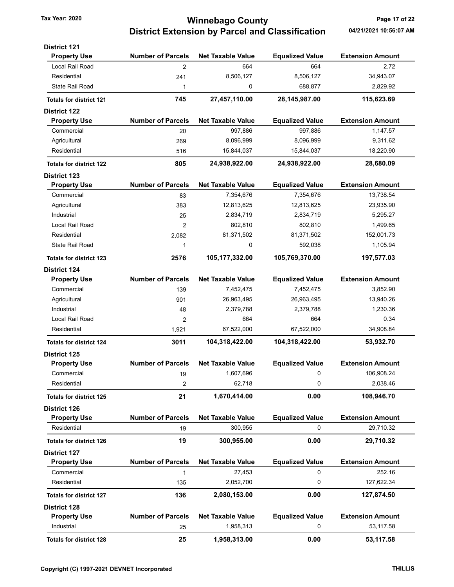## Tax Year: 2020 **Winnebago County Tax Year: 2020** Page 17 of 22 District Extension by Parcel and Classification 04/21/2021 10:56:07 AM

| <b>District 121</b>            |                          |                          |                        |                         |
|--------------------------------|--------------------------|--------------------------|------------------------|-------------------------|
| <b>Property Use</b>            | <b>Number of Parcels</b> | <b>Net Taxable Value</b> | <b>Equalized Value</b> | <b>Extension Amount</b> |
| Local Rail Road                | $\overline{2}$           | 664                      | 664                    | 2.72                    |
| Residential                    | 241                      | 8,506,127                | 8,506,127              | 34,943.07               |
| <b>State Rail Road</b>         | 1                        | 0                        | 688,877                | 2,829.92                |
| <b>Totals for district 121</b> | 745                      | 27,457,110.00            | 28,145,987.00          | 115,623.69              |
| <b>District 122</b>            |                          |                          |                        |                         |
| <b>Property Use</b>            | <b>Number of Parcels</b> | <b>Net Taxable Value</b> | <b>Equalized Value</b> | <b>Extension Amount</b> |
| Commercial                     | 20                       | 997,886                  | 997,886                | 1,147.57                |
| Agricultural                   | 269                      | 8,096,999                | 8,096,999              | 9,311.62                |
| Residential                    | 516                      | 15,844,037               | 15,844,037             | 18,220.90               |
| <b>Totals for district 122</b> | 805                      | 24,938,922.00            | 24,938,922.00          | 28,680.09               |
| <b>District 123</b>            |                          |                          |                        |                         |
| <b>Property Use</b>            | <b>Number of Parcels</b> | <b>Net Taxable Value</b> | <b>Equalized Value</b> | <b>Extension Amount</b> |
| Commercial                     | 83                       | 7,354,676                | 7,354,676              | 13,738.54               |
| Agricultural                   | 383                      | 12,813,625               | 12,813,625             | 23,935.90               |
| Industrial                     | 25                       | 2,834,719                | 2,834,719              | 5,295.27                |
| Local Rail Road                | 2                        | 802,810                  | 802,810                | 1,499.65                |
| Residential                    | 2,082                    | 81,371,502               | 81,371,502             | 152,001.73              |
| State Rail Road                | 1                        | 0                        | 592,038                | 1,105.94                |
| <b>Totals for district 123</b> | 2576                     | 105,177,332.00           | 105,769,370.00         | 197,577.03              |
| <b>District 124</b>            |                          |                          |                        |                         |
| <b>Property Use</b>            | <b>Number of Parcels</b> | <b>Net Taxable Value</b> | <b>Equalized Value</b> | <b>Extension Amount</b> |
| Commercial                     | 139                      | 7,452,475                | 7,452,475              | 3,852.90                |
| Agricultural                   | 901                      | 26,963,495               | 26,963,495             | 13,940.26               |
| Industrial                     | 48                       | 2,379,788                | 2,379,788              | 1,230.36                |
| Local Rail Road                | 2                        | 664                      | 664                    | 0.34                    |
| Residential                    | 1,921                    | 67,522,000               | 67,522,000             | 34,908.84               |
| <b>Totals for district 124</b> | 3011                     | 104,318,422.00           | 104,318,422.00         | 53,932.70               |
| <b>District 125</b>            |                          |                          |                        |                         |
| <b>Property Use</b>            | <b>Number of Parcels</b> | <b>Net Taxable Value</b> | <b>Equalized Value</b> | <b>Extension Amount</b> |
| Commercial                     | 19                       | 1,607,696                | 0                      | 106,908.24              |
| Residential                    | 2                        | 62,718                   | 0                      | 2,038.46                |
| <b>Totals for district 125</b> | 21                       | 1,670,414.00             | 0.00                   | 108,946.70              |
| <b>District 126</b>            |                          |                          |                        |                         |
| <b>Property Use</b>            | <b>Number of Parcels</b> | <b>Net Taxable Value</b> | <b>Equalized Value</b> | <b>Extension Amount</b> |
| Residential                    | 19                       | 300,955                  | 0                      | 29,710.32               |
| <b>Totals for district 126</b> | 19                       | 300,955.00               | 0.00                   | 29,710.32               |
| <b>District 127</b>            |                          |                          |                        |                         |
| <b>Property Use</b>            | <b>Number of Parcels</b> | <b>Net Taxable Value</b> | <b>Equalized Value</b> | <b>Extension Amount</b> |
| Commercial                     | 1                        | 27,453                   | 0                      | 252.16                  |
| Residential                    | 135                      | 2,052,700                | 0                      | 127,622.34              |
| <b>Totals for district 127</b> | 136                      | 2,080,153.00             | 0.00                   | 127,874.50              |
| <b>District 128</b>            |                          |                          |                        |                         |
| <b>Property Use</b>            | <b>Number of Parcels</b> | <b>Net Taxable Value</b> | <b>Equalized Value</b> | <b>Extension Amount</b> |
| Industrial                     | 25                       | 1,958,313                | 0                      | 53,117.58               |
|                                |                          | 1,958,313.00             | 0.00                   | 53,117.58               |
| <b>Totals for district 128</b> | 25                       |                          |                        |                         |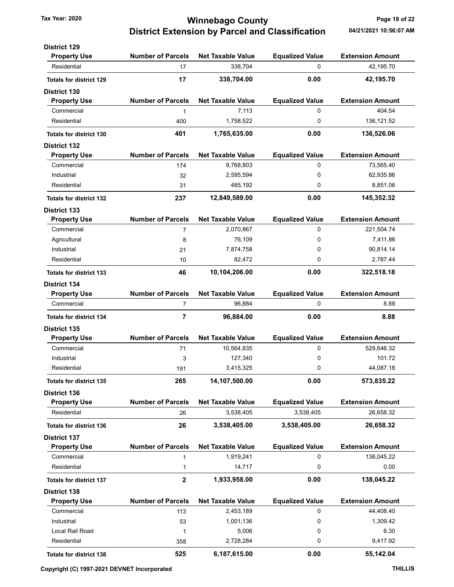### Tax Year: 2020 **Ninnebago County Tax Year: 2020** Page 18 of 22 District Extension by Parcel and Classification 04/21/2021 10:56:07 AM

| <b>District 129</b>            |                          |                          |                        |                         |
|--------------------------------|--------------------------|--------------------------|------------------------|-------------------------|
| <b>Property Use</b>            | <b>Number of Parcels</b> | <b>Net Taxable Value</b> | <b>Equalized Value</b> | <b>Extension Amount</b> |
| Residential                    | 17                       | 338,704                  | 0                      | 42,195.70               |
| <b>Totals for district 129</b> | 17                       | 338,704.00               | 0.00                   | 42,195.70               |
| <b>District 130</b>            |                          |                          |                        |                         |
| <b>Property Use</b>            | <b>Number of Parcels</b> | <b>Net Taxable Value</b> | <b>Equalized Value</b> | <b>Extension Amount</b> |
| Commercial                     | 1                        | 7,113                    | 0                      | 404.54                  |
| Residential                    | 400                      | 1,758,522                | 0                      | 136, 121.52             |
| <b>Totals for district 130</b> | 401                      | 1,765,635.00             | 0.00                   | 136,526.06              |
| <b>District 132</b>            |                          |                          |                        |                         |
| <b>Property Use</b>            | <b>Number of Parcels</b> | <b>Net Taxable Value</b> | <b>Equalized Value</b> | <b>Extension Amount</b> |
| Commercial                     | 174                      | 9,768,803                | 0                      | 73,565.40               |
| Industrial                     | 32                       | 2,595,594                | 0                      | 62,935.86               |
| Residential                    | 31                       | 485,192                  | 0                      | 8,851.06                |
| <b>Totals for district 132</b> | 237                      | 12,849,589.00            | 0.00                   | 145,352.32              |
| <b>District 133</b>            |                          |                          |                        |                         |
| <b>Property Use</b>            | <b>Number of Parcels</b> | Net Taxable Value        | <b>Equalized Value</b> | <b>Extension Amount</b> |
| Commercial                     | 7                        | 2,070,867                | 0                      | 221,504.74              |
| Agricultural                   | 8                        | 76,109                   | 0                      | 7,411.86                |
| Industrial                     | 21                       | 7,874,758                | 0                      | 90,814.14               |
| Residential                    | 10                       | 82,472                   | 0                      | 2,787.44                |
| <b>Totals for district 133</b> | 46                       | 10,104,206.00            | 0.00                   | 322,518.18              |
| <b>District 134</b>            |                          |                          |                        |                         |
| <b>Property Use</b>            | <b>Number of Parcels</b> | <b>Net Taxable Value</b> | <b>Equalized Value</b> | <b>Extension Amount</b> |
| Commercial                     | $\overline{7}$           | 96,884                   | 0                      | 8.88                    |
| <b>Totals for district 134</b> | 7                        | 96,884.00                | 0.00                   | 8.88                    |
| <b>District 135</b>            |                          |                          |                        |                         |
| <b>Property Use</b>            | <b>Number of Parcels</b> | <b>Net Taxable Value</b> | <b>Equalized Value</b> | <b>Extension Amount</b> |
| Commercial                     | 71                       | 10,564,835               | 0                      | 529,646.32              |
| Industrial                     | 3                        | 127,340                  | 0                      | 101.72                  |
| Residential                    | 191                      | 3,415,325                | 0                      | 44,087.18               |
| <b>Totals for district 135</b> | 265                      | 14,107,500.00            | 0.00                   | 573,835.22              |
| <b>District 136</b>            |                          |                          |                        |                         |
| <b>Property Use</b>            | <b>Number of Parcels</b> | <b>Net Taxable Value</b> | <b>Equalized Value</b> | <b>Extension Amount</b> |
| Residential                    | 26                       | 3,538,405                | 3,538,405              | 26,658.32               |
| <b>Totals for district 136</b> | 26                       | 3,538,405.00             | 3,538,405.00           | 26,658.32               |
| <b>District 137</b>            |                          |                          |                        |                         |
| <b>Property Use</b>            | <b>Number of Parcels</b> | <b>Net Taxable Value</b> | <b>Equalized Value</b> | <b>Extension Amount</b> |
| Commercial                     | 1                        | 1,919,241                | 0                      | 138,045.22              |
| Residential                    | $\mathbf{1}$             | 14,717                   | 0                      | 0.00                    |
| <b>Totals for district 137</b> | $\mathbf 2$              | 1,933,958.00             | 0.00                   | 138,045.22              |
| <b>District 138</b>            |                          |                          |                        |                         |
| <b>Property Use</b>            | <b>Number of Parcels</b> | <b>Net Taxable Value</b> | <b>Equalized Value</b> | <b>Extension Amount</b> |
| Commercial                     | 113                      | 2,453,189                | 0                      | 44,408.40               |
| Industrial                     | 53                       | 1,001,136                | 0                      | 1,309.42                |
| Local Rail Road                | 1                        | 5,006                    | 0                      | 6.30                    |
| Residential                    | 358                      | 2,728,284                | 0                      | 9,417.92                |
| <b>Totals for district 138</b> | 525                      | 6,187,615.00             | 0.00                   | 55,142.04               |
|                                |                          |                          |                        |                         |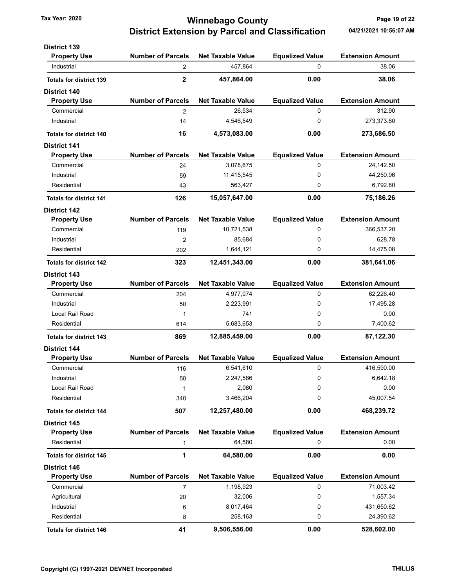### Tax Year: 2020 **Starting County Winnebago County Page 19 of 22** District Extension by Parcel and Classification 04/21/2021 10:56:07 AM

| <b>District 139</b>            |                          |                          |                        |                         |
|--------------------------------|--------------------------|--------------------------|------------------------|-------------------------|
| <b>Property Use</b>            | <b>Number of Parcels</b> | <b>Net Taxable Value</b> | <b>Equalized Value</b> | <b>Extension Amount</b> |
| Industrial                     | 2                        | 457,864                  | 0                      | 38.06                   |
| <b>Totals for district 139</b> | $\mathbf 2$              | 457,864.00               | 0.00                   | 38.06                   |
| <b>District 140</b>            |                          |                          |                        |                         |
| <b>Property Use</b>            | <b>Number of Parcels</b> | <b>Net Taxable Value</b> | <b>Equalized Value</b> | <b>Extension Amount</b> |
| Commercial                     | $\overline{2}$           | 26,534                   | 0                      | 312.90                  |
| Industrial                     | 14                       | 4,546,549                | 0                      | 273,373.60              |
| <b>Totals for district 140</b> | 16                       | 4,573,083.00             | 0.00                   | 273,686.50              |
| <b>District 141</b>            |                          |                          |                        |                         |
| <b>Property Use</b>            | <b>Number of Parcels</b> | <b>Net Taxable Value</b> | <b>Equalized Value</b> | <b>Extension Amount</b> |
| Commercial                     | 24                       | 3,078,675                | 0                      | 24,142.50               |
| Industrial                     | 59                       | 11,415,545               | 0                      | 44,250.96               |
| Residential                    | 43                       | 563,427                  | 0                      | 6,792.80                |
| <b>Totals for district 141</b> | 126                      | 15,057,647.00            | 0.00                   | 75,186.26               |
| <b>District 142</b>            |                          |                          |                        |                         |
| <b>Property Use</b>            | <b>Number of Parcels</b> | <b>Net Taxable Value</b> | <b>Equalized Value</b> | <b>Extension Amount</b> |
| Commercial                     | 119                      | 10,721,538               | 0                      | 366,537.20              |
| Industrial                     | $\overline{2}$           | 85,684                   | 0                      | 628.78                  |
| Residential                    | 202                      | 1,644,121                | 0                      | 14,475.08               |
| <b>Totals for district 142</b> | 323                      | 12,451,343.00            | 0.00                   | 381,641.06              |
| <b>District 143</b>            |                          |                          |                        |                         |
| <b>Property Use</b>            | <b>Number of Parcels</b> | <b>Net Taxable Value</b> | <b>Equalized Value</b> | <b>Extension Amount</b> |
| Commercial                     | 204                      | 4,977,074                | 0                      | 62,226.40               |
| Industrial                     | 50                       | 2,223,991                | 0                      | 17,495.28               |
| Local Rail Road                | 1                        | 741                      | 0                      | 0.00                    |
| Residential                    | 614                      | 5,683,653                | 0                      | 7,400.62                |
| <b>Totals for district 143</b> | 869                      | 12,885,459.00            | 0.00                   | 87,122.30               |
| <b>District 144</b>            |                          |                          |                        |                         |
| <b>Property Use</b>            | <b>Number of Parcels</b> | <b>Net Taxable Value</b> | <b>Equalized Value</b> | <b>Extension Amount</b> |
| Commercial                     | 116                      | 6,541,610                | 0                      | 416,590.00              |
| Industrial                     | 50                       | 2,247,586                | 0                      | 6,642.18                |
| Local Rail Road                | $\mathbf{1}$             | 2,080                    | 0                      | 0.00                    |
| Residential                    | 340                      | 3,466,204                | 0                      | 45,007.54               |
| <b>Totals for district 144</b> | 507                      | 12,257,480.00            | 0.00                   | 468,239.72              |
| <b>District 145</b>            |                          |                          |                        |                         |
| <b>Property Use</b>            | <b>Number of Parcels</b> | <b>Net Taxable Value</b> | <b>Equalized Value</b> | <b>Extension Amount</b> |
| Residential                    | $\mathbf{1}$             | 64,580                   | 0                      | 0.00                    |
| <b>Totals for district 145</b> | 1                        | 64,580.00                | 0.00                   | 0.00                    |
| <b>District 146</b>            |                          |                          |                        |                         |
| <b>Property Use</b>            | <b>Number of Parcels</b> | <b>Net Taxable Value</b> | <b>Equalized Value</b> | <b>Extension Amount</b> |
| Commercial                     | 7                        | 1,198,923                | 0                      | 71,003.42               |
| Agricultural                   | 20                       | 32,006                   | 0                      | 1,557.34                |
| Industrial                     | 6                        | 8,017,464                | 0                      | 431,650.62              |
| Residential                    | 8                        | 258,163                  | 0                      | 24,390.62               |
| <b>Totals for district 146</b> | 41                       | 9,506,556.00             | 0.00                   | 528,602.00              |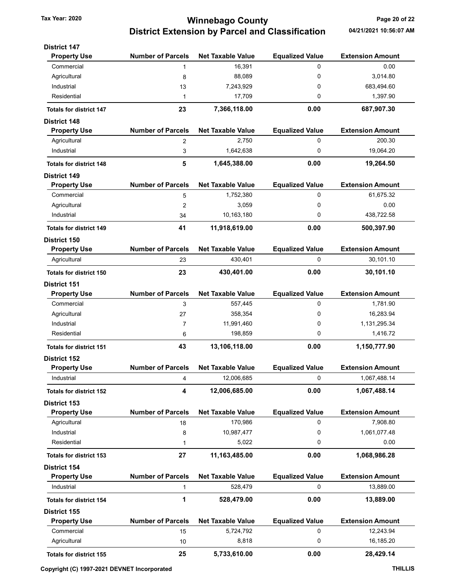# Tax Year: 2020 **Starting County Winnebago County Page 20 of 22** District Extension by Parcel and Classification 04/21/2021 10:56:07 AM

| <b>District 147</b>            |                          |                          |                        |                         |
|--------------------------------|--------------------------|--------------------------|------------------------|-------------------------|
| <b>Property Use</b>            | <b>Number of Parcels</b> | <b>Net Taxable Value</b> | <b>Equalized Value</b> | <b>Extension Amount</b> |
| Commercial                     | 1                        | 16,391                   | 0                      | 0.00                    |
| Agricultural                   | 8                        | 88,089                   | 0                      | 3,014.80                |
| Industrial                     | 13                       | 7,243,929                | 0                      | 683,494.60              |
| Residential                    | 1                        | 17,709                   | 0                      | 1,397.90                |
| <b>Totals for district 147</b> | 23                       | 7,366,118.00             | 0.00                   | 687,907.30              |
| <b>District 148</b>            |                          |                          |                        |                         |
| <b>Property Use</b>            | <b>Number of Parcels</b> | <b>Net Taxable Value</b> | <b>Equalized Value</b> | <b>Extension Amount</b> |
| Agricultural                   | 2                        | 2,750                    | 0                      | 200.30                  |
| Industrial                     | 3                        | 1,642,638                | 0                      | 19,064.20               |
| <b>Totals for district 148</b> | 5                        | 1,645,388.00             | 0.00                   | 19,264.50               |
| <b>District 149</b>            |                          |                          |                        |                         |
| <b>Property Use</b>            | <b>Number of Parcels</b> | <b>Net Taxable Value</b> | <b>Equalized Value</b> | <b>Extension Amount</b> |
| Commercial                     | 5                        | 1,752,380                | 0                      | 61,675.32               |
| Agricultural                   | 2                        | 3,059                    | 0                      | 0.00                    |
| Industrial                     | 34                       | 10,163,180               | 0                      | 438,722.58              |
| <b>Totals for district 149</b> | 41                       | 11,918,619.00            | 0.00                   | 500,397.90              |
| <b>District 150</b>            |                          |                          |                        |                         |
| <b>Property Use</b>            | <b>Number of Parcels</b> | <b>Net Taxable Value</b> | <b>Equalized Value</b> | <b>Extension Amount</b> |
| Agricultural                   | 23                       | 430,401                  | 0                      | 30,101.10               |
| <b>Totals for district 150</b> | 23                       | 430,401.00               | 0.00                   | 30,101.10               |
| <b>District 151</b>            |                          |                          |                        |                         |
| <b>Property Use</b>            | <b>Number of Parcels</b> | <b>Net Taxable Value</b> | <b>Equalized Value</b> | <b>Extension Amount</b> |
| Commercial                     | 3                        | 557,445                  | 0                      | 1,781.90                |
| Agricultural                   | 27                       | 358,354                  | 0                      | 16,283.94               |
| Industrial                     | 7                        | 11,991,460               | 0                      | 1,131,295.34            |
| Residential                    | 6                        | 198,859                  | 0                      | 1,416.72                |
| <b>Totals for district 151</b> | 43                       | 13,106,118.00            | 0.00                   | 1,150,777.90            |
| District 152                   |                          |                          |                        |                         |
| <b>Property Use</b>            | <b>Number of Parcels</b> | <b>Net Taxable Value</b> | <b>Equalized Value</b> | <b>Extension Amount</b> |
| Industrial                     | 4                        | 12,006,685               | 0                      | 1,067,488.14            |
| <b>Totals for district 152</b> | 4                        | 12,006,685.00            | 0.00                   | 1,067,488.14            |
| <b>District 153</b>            |                          |                          |                        |                         |
| <b>Property Use</b>            | <b>Number of Parcels</b> | <b>Net Taxable Value</b> | <b>Equalized Value</b> | <b>Extension Amount</b> |
| Agricultural                   | 18                       | 170,986                  | 0                      | 7,908.80                |
| Industrial                     | 8                        | 10,987,477               | 0                      | 1,061,077.48            |
| Residential                    | 1                        | 5,022                    | 0                      | 0.00                    |
| <b>Totals for district 153</b> | 27                       | 11,163,485.00            | 0.00                   | 1,068,986.28            |
| District 154                   |                          |                          |                        |                         |
| <b>Property Use</b>            | <b>Number of Parcels</b> | <b>Net Taxable Value</b> | <b>Equalized Value</b> | <b>Extension Amount</b> |
| Industrial                     | 1                        | 528,479                  | 0                      | 13,889.00               |
| <b>Totals for district 154</b> | 1                        | 528,479.00               | 0.00                   | 13,889.00               |
| <b>District 155</b>            |                          |                          |                        |                         |
| <b>Property Use</b>            | <b>Number of Parcels</b> | <b>Net Taxable Value</b> | <b>Equalized Value</b> | <b>Extension Amount</b> |
| Commercial                     | 15                       | 5,724,792                | 0                      | 12,243.94               |
| Agricultural                   | 10                       | 8,818                    | 0                      | 16,185.20               |
| <b>Totals for district 155</b> | 25                       | 5,733,610.00             | 0.00                   | 28,429.14               |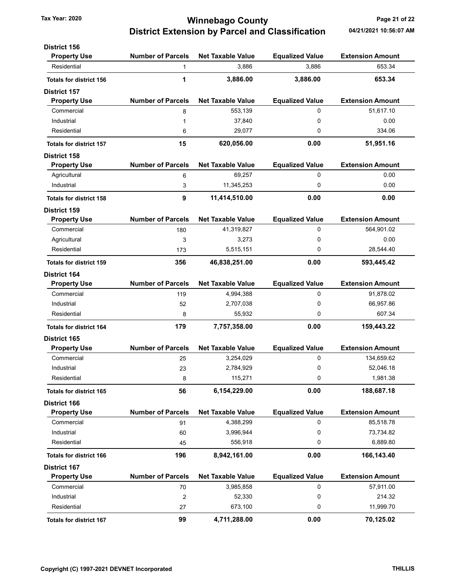### Tax Year: 2020 **Winnebago County Tax Year: 2020** Page 21 of 22 District Extension by Parcel and Classification 04/21/2021 10:56:07 AM

| <b>District 156</b>            |                          |                          |                        |                         |
|--------------------------------|--------------------------|--------------------------|------------------------|-------------------------|
| <b>Property Use</b>            | <b>Number of Parcels</b> | <b>Net Taxable Value</b> | <b>Equalized Value</b> | <b>Extension Amount</b> |
| Residential                    | $\mathbf{1}$             | 3,886                    | 3,886                  | 653.34                  |
| <b>Totals for district 156</b> | 1                        | 3,886.00                 | 3,886.00               | 653.34                  |
| <b>District 157</b>            |                          |                          |                        |                         |
| <b>Property Use</b>            | <b>Number of Parcels</b> | <b>Net Taxable Value</b> | <b>Equalized Value</b> | <b>Extension Amount</b> |
| Commercial                     | 8                        | 553,139                  | $\Omega$               | 51,617.10               |
| Industrial                     | 1                        | 37,840                   | 0                      | 0.00                    |
| Residential                    | 6                        | 29,077                   | 0                      | 334.06                  |
| <b>Totals for district 157</b> | 15                       | 620,056.00               | 0.00                   | 51,951.16               |
| <b>District 158</b>            |                          |                          |                        |                         |
| <b>Property Use</b>            | <b>Number of Parcels</b> | <b>Net Taxable Value</b> | <b>Equalized Value</b> | <b>Extension Amount</b> |
| Agricultural                   | 6                        | 69,257                   | 0                      | 0.00                    |
| Industrial                     | 3                        | 11,345,253               | 0                      | 0.00                    |
| <b>Totals for district 158</b> | 9                        | 11,414,510.00            | 0.00                   | 0.00                    |
| <b>District 159</b>            |                          |                          |                        |                         |
| <b>Property Use</b>            | <b>Number of Parcels</b> | <b>Net Taxable Value</b> | <b>Equalized Value</b> | <b>Extension Amount</b> |
| Commercial                     | 180                      | 41,319,827               | 0                      | 564,901.02              |
| Agricultural                   | 3                        | 3,273                    | 0                      | 0.00                    |
| Residential                    | 173                      | 5,515,151                | 0                      | 28,544.40               |
| <b>Totals for district 159</b> | 356                      | 46,838,251.00            | 0.00                   | 593,445.42              |
| <b>District 164</b>            |                          |                          |                        |                         |
| <b>Property Use</b>            | <b>Number of Parcels</b> | <b>Net Taxable Value</b> | <b>Equalized Value</b> | <b>Extension Amount</b> |
| Commercial                     | 119                      | 4,994,388                | 0                      | 91,878.02               |
| Industrial                     | 52                       | 2,707,038                | 0                      | 66,957.86               |
| Residential                    | 8                        | 55,932                   | 0                      | 607.34                  |
| <b>Totals for district 164</b> | 179                      | 7,757,358.00             | 0.00                   | 159,443.22              |
| <b>District 165</b>            |                          |                          |                        |                         |
| <b>Property Use</b>            | <b>Number of Parcels</b> | <b>Net Taxable Value</b> | <b>Equalized Value</b> | <b>Extension Amount</b> |
| Commercial                     | 25                       | 3,254,029                | 0                      | 134,659.62              |
| Industrial                     | 23                       | 2,784,929                | 0                      | 52,046.18               |
| Residential                    | 8                        | 115,271                  | 0                      | 1,981.38                |
| <b>Totals for district 165</b> | 56                       | 6,154,229.00             | 0.00                   | 188,687.18              |
| <b>District 166</b>            |                          |                          |                        |                         |
| <b>Property Use</b>            | <b>Number of Parcels</b> | <b>Net Taxable Value</b> | <b>Equalized Value</b> | <b>Extension Amount</b> |
| Commercial                     | 91                       | 4,388,299                | 0                      | 85,518.78               |
| Industrial                     | 60                       | 3,996,944                | 0                      | 73,734.82               |
| Residential                    | 45                       | 556,918                  | 0                      | 6,889.80                |
| <b>Totals for district 166</b> | 196                      | 8,942,161.00             | 0.00                   | 166,143.40              |
| <b>District 167</b>            |                          |                          |                        |                         |
| <b>Property Use</b>            | <b>Number of Parcels</b> | <b>Net Taxable Value</b> | <b>Equalized Value</b> | <b>Extension Amount</b> |
| Commercial                     | 70                       | 3,985,858                | 0                      | 57,911.00               |
| Industrial                     | $\overline{c}$           | 52,330                   | 0                      | 214.32                  |
| Residential                    | 27                       | 673,100                  | 0                      | 11,999.70               |
| <b>Totals for district 167</b> | 99                       | 4,711,288.00             | 0.00                   | 70,125.02               |